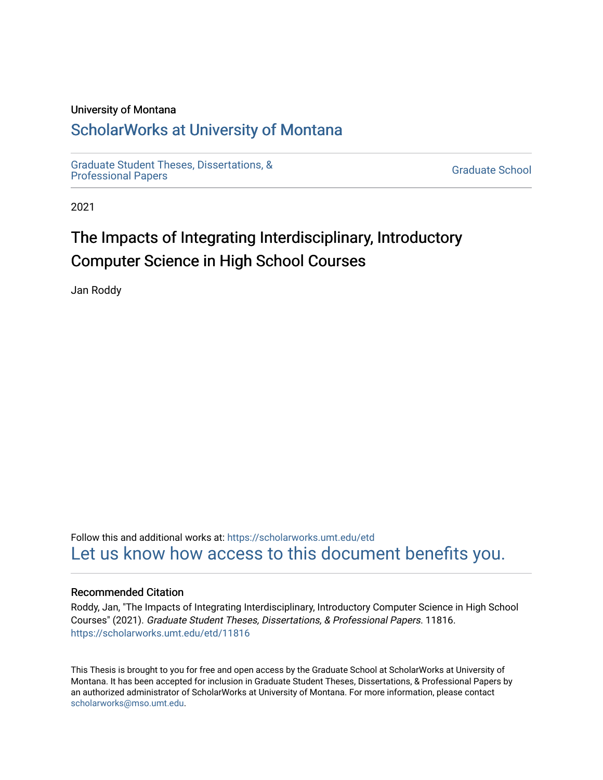#### University of Montana

# [ScholarWorks at University of Montana](https://scholarworks.umt.edu/)

[Graduate Student Theses, Dissertations, &](https://scholarworks.umt.edu/etd) Graduate Student Theses, Dissertations, & Contract Control of the Graduate School [Professional Papers](https://scholarworks.umt.edu/etd) Contract Control of the Contract Control of the Contract Control of the Contract Contract Contract Control of the Contra

2021

# The Impacts of Integrating Interdisciplinary, Introductory Computer Science in High School Courses

Jan Roddy

Follow this and additional works at: [https://scholarworks.umt.edu/etd](https://scholarworks.umt.edu/etd?utm_source=scholarworks.umt.edu%2Fetd%2F11816&utm_medium=PDF&utm_campaign=PDFCoverPages)  [Let us know how access to this document benefits you.](https://goo.gl/forms/s2rGfXOLzz71qgsB2) 

#### Recommended Citation

Roddy, Jan, "The Impacts of Integrating Interdisciplinary, Introductory Computer Science in High School Courses" (2021). Graduate Student Theses, Dissertations, & Professional Papers. 11816. [https://scholarworks.umt.edu/etd/11816](https://scholarworks.umt.edu/etd/11816?utm_source=scholarworks.umt.edu%2Fetd%2F11816&utm_medium=PDF&utm_campaign=PDFCoverPages) 

This Thesis is brought to you for free and open access by the Graduate School at ScholarWorks at University of Montana. It has been accepted for inclusion in Graduate Student Theses, Dissertations, & Professional Papers by an authorized administrator of ScholarWorks at University of Montana. For more information, please contact [scholarworks@mso.umt.edu.](mailto:scholarworks@mso.umt.edu)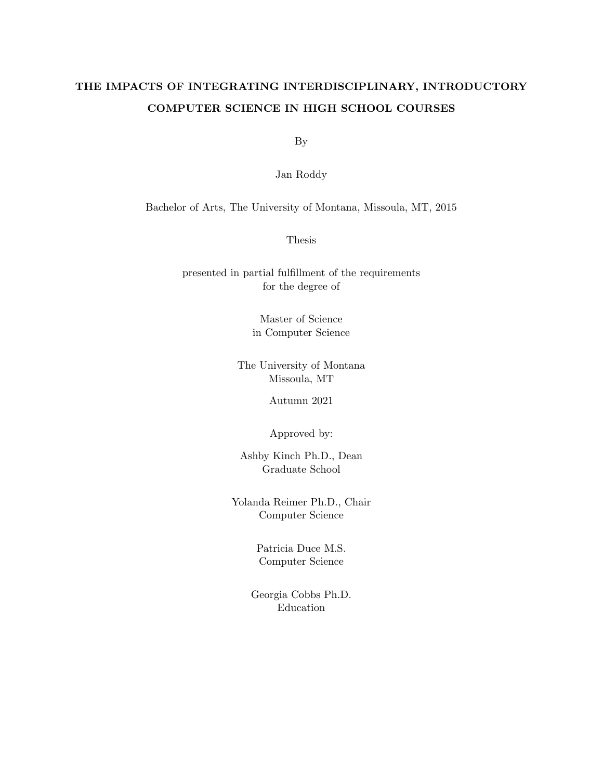# THE IMPACTS OF INTEGRATING INTERDISCIPLINARY, INTRODUCTORY COMPUTER SCIENCE IN HIGH SCHOOL COURSES

By

Jan Roddy

Bachelor of Arts, The University of Montana, Missoula, MT, 2015

Thesis

presented in partial fulfillment of the requirements for the degree of

> Master of Science in Computer Science

The University of Montana Missoula, MT

Autumn 2021

Approved by:

Ashby Kinch Ph.D., Dean Graduate School

Yolanda Reimer Ph.D., Chair Computer Science

> Patricia Duce M.S. Computer Science

Georgia Cobbs Ph.D. Education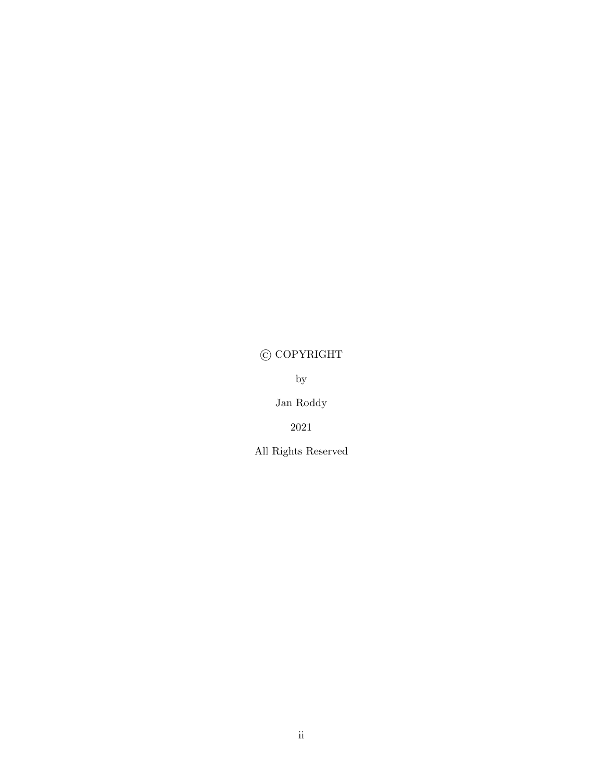# <span id="page-2-0"></span>© COPYRIGHT

by

Jan Roddy

2021

All Rights Reserved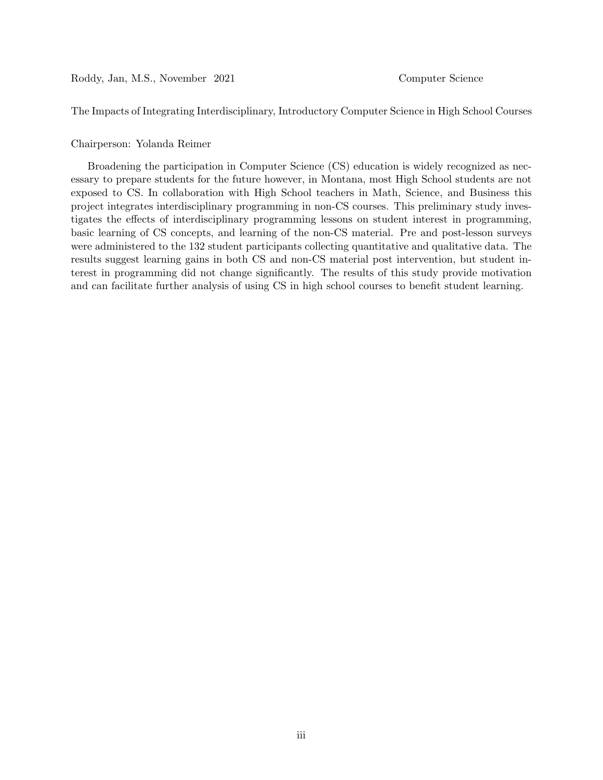<span id="page-3-0"></span>Roddy, Jan, M.S., November 2021 Computer Science

The Impacts of Integrating Interdisciplinary, Introductory Computer Science in High School Courses

#### Chairperson: Yolanda Reimer

Broadening the participation in Computer Science (CS) education is widely recognized as necessary to prepare students for the future however, in Montana, most High School students are not exposed to CS. In collaboration with High School teachers in Math, Science, and Business this project integrates interdisciplinary programming in non-CS courses. This preliminary study investigates the effects of interdisciplinary programming lessons on student interest in programming, basic learning of CS concepts, and learning of the non-CS material. Pre and post-lesson surveys were administered to the 132 student participants collecting quantitative and qualitative data. The results suggest learning gains in both CS and non-CS material post intervention, but student interest in programming did not change significantly. The results of this study provide motivation and can facilitate further analysis of using CS in high school courses to benefit student learning.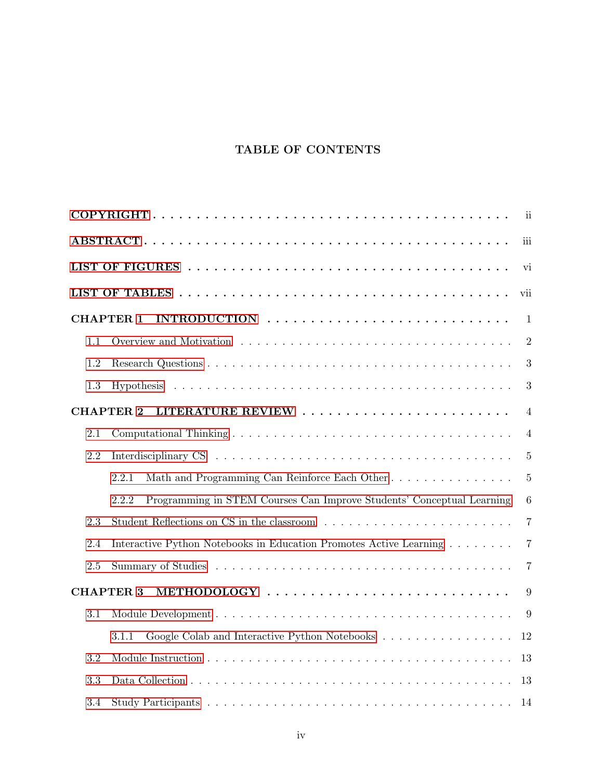### TABLE OF CONTENTS

|         |                                                                                                      | ii             |
|---------|------------------------------------------------------------------------------------------------------|----------------|
|         |                                                                                                      | iii            |
|         |                                                                                                      | vi             |
|         |                                                                                                      | vii            |
|         | <b>CHAPTER 1</b>                                                                                     | 1              |
| 1.1     |                                                                                                      | $\overline{2}$ |
| 1.2     |                                                                                                      | 3              |
| 1.3     |                                                                                                      | 3              |
|         | <b>CHAPTER 2</b>                                                                                     | $\overline{4}$ |
| 2.1     |                                                                                                      | $\overline{4}$ |
| 2.2     |                                                                                                      | $\overline{5}$ |
|         | Math and Programming Can Reinforce Each Other<br>2.2.1                                               | $\overline{5}$ |
|         | Programming in STEM Courses Can Improve Students' Conceptual Learning<br>2.2.2                       | $\,6$          |
| 2.3     | Student Reflections on CS in the classroom $\ldots \ldots \ldots \ldots \ldots \ldots \ldots \ldots$ | $\overline{7}$ |
| 2.4     | Interactive Python Notebooks in Education Promotes Active Learning                                   | $\overline{7}$ |
| $2.5\,$ |                                                                                                      | $\overline{7}$ |
|         | METHODOLOGY<br><b>CHAPTER 3</b>                                                                      | 9              |
| 3.1     |                                                                                                      | 9              |
|         | Google Colab and Interactive Python Notebooks<br>3.1.1                                               | 12             |
| 3.2     |                                                                                                      | 13             |
| 3.3     |                                                                                                      | 13             |
| 3.4     |                                                                                                      | 14             |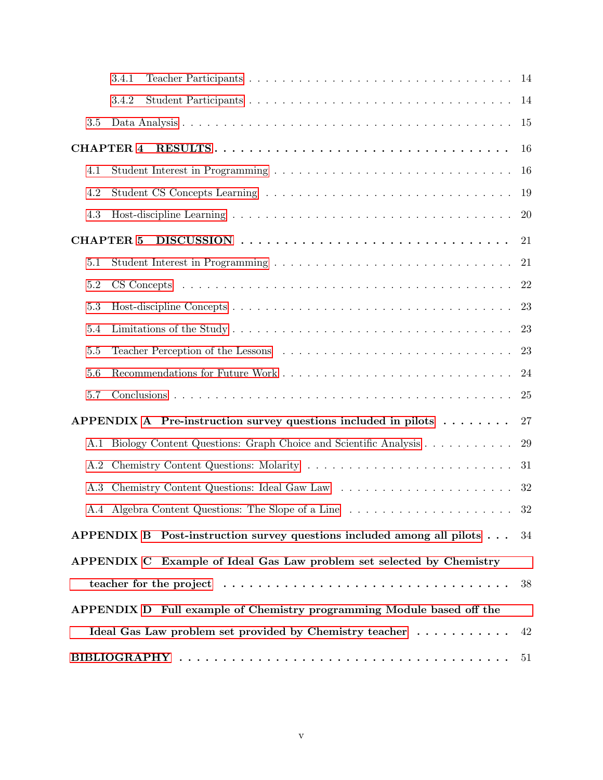|     | 3.4.1                                                                          | 14        |
|-----|--------------------------------------------------------------------------------|-----------|
|     | 3.4.2                                                                          | 14        |
| 3.5 |                                                                                | 15        |
|     | <b>CHAPTER 4</b>                                                               | 16        |
| 4.1 |                                                                                | 16        |
| 4.2 |                                                                                | 19        |
| 4.3 |                                                                                | <b>20</b> |
|     | <b>CHAPTER 5</b>                                                               | 21        |
| 5.1 |                                                                                | 21        |
| 5.2 |                                                                                | 22        |
| 5.3 |                                                                                | 23        |
| 5.4 |                                                                                | 23        |
| 5.5 |                                                                                | 23        |
| 5.6 |                                                                                | 24        |
| 5.7 |                                                                                | <b>25</b> |
|     | APPENDIX A Pre-instruction survey questions included in pilots $\dots \dots$   | 27        |
| A.1 | Biology Content Questions: Graph Choice and Scientific Analysis                | 29        |
| A.2 |                                                                                | 31        |
| A.3 |                                                                                | 32        |
|     | A.4 Algebra Content Questions: The Slope of a Line                             | 32        |
|     | APPENDIX B Post-instruction survey questions included among all pilots $\dots$ | 34        |
|     | APPENDIX C Example of Ideal Gas Law problem set selected by Chemistry          |           |
|     |                                                                                | 38        |
|     | APPENDIX D Full example of Chemistry programming Module based off the          |           |
|     | Ideal Gas Law problem set provided by Chemistry teacher                        | 42        |
|     |                                                                                |           |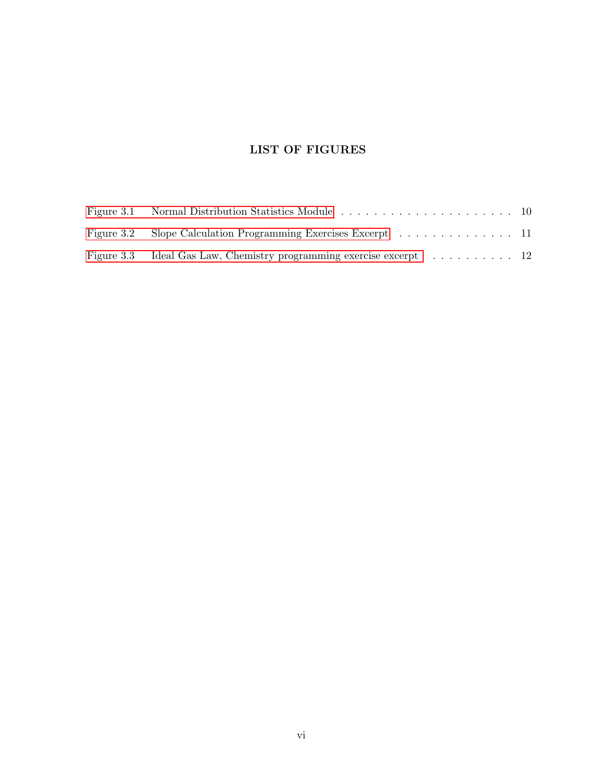# LIST OF FIGURES

<span id="page-6-0"></span>

| Figure 3.2 Slope Calculation Programming Exercises Excerpt 11       |  |
|---------------------------------------------------------------------|--|
| Figure 3.3 Ideal Gas Law, Chemistry programming exercise excerpt 12 |  |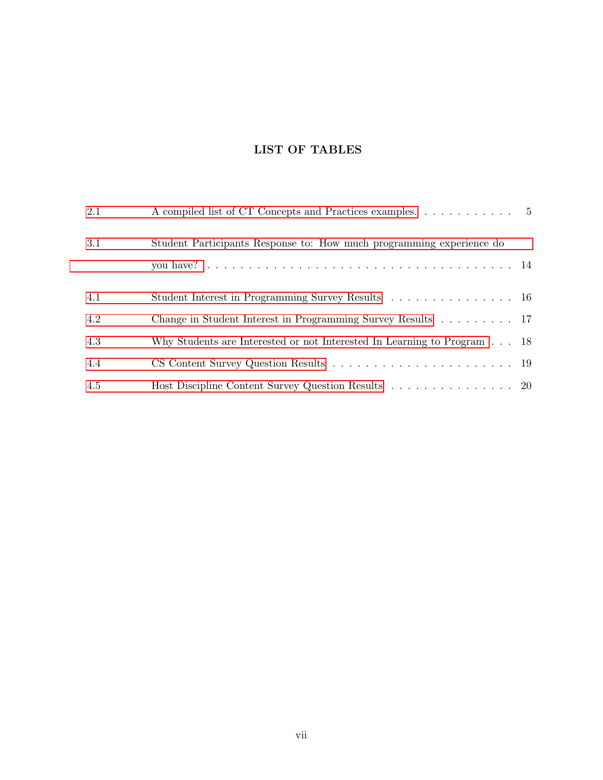# LIST OF TABLES

<span id="page-7-0"></span>

| 2.1 | A compiled list of CT Concepts and Practices examples. 5                         |  |
|-----|----------------------------------------------------------------------------------|--|
| 3.1 | Student Participants Response to: How much programming experience do             |  |
|     |                                                                                  |  |
| 4.1 | Student Interest in Programming Survey Results 16                                |  |
| 4.2 | Change in Student Interest in Programming Survey Results 17                      |  |
| 4.3 | Why Students are Interested or not Interested In Learning to Program $\ldots$ 18 |  |
| 4.4 |                                                                                  |  |
| 4.5 | Host Discipline Content Survey Question Results 20                               |  |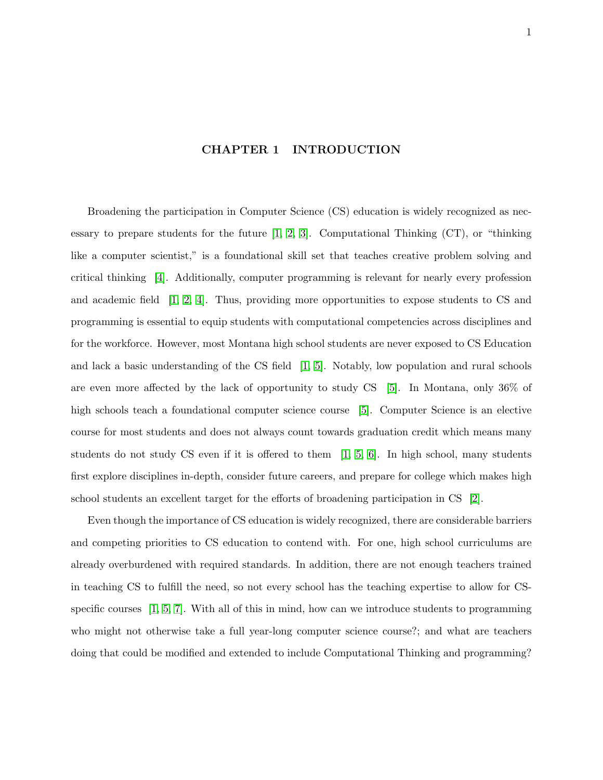#### CHAPTER 1 INTRODUCTION

<span id="page-8-0"></span>Broadening the participation in Computer Science (CS) education is widely recognized as necessary to prepare students for the future  $[1, 2, 3]$  $[1, 2, 3]$  $[1, 2, 3]$ . Computational Thinking  $(CT)$ , or "thinking like a computer scientist," is a foundational skill set that teaches creative problem solving and critical thinking [\[4\]](#page-58-4). Additionally, computer programming is relevant for nearly every profession and academic field  $\begin{bmatrix} 1, 2, 4 \end{bmatrix}$  $\begin{bmatrix} 1, 2, 4 \end{bmatrix}$  $\begin{bmatrix} 1, 2, 4 \end{bmatrix}$ . Thus, providing more opportunities to expose students to CS and programming is essential to equip students with computational competencies across disciplines and for the workforce. However, most Montana high school students are never exposed to CS Education and lack a basic understanding of the CS field  $\vert 1, 5 \vert$ . Notably, low population and rural schools are even more affected by the lack of opportunity to study CS  $[5]$ . In Montana, only 36% of high schools teach a foundational computer science course [\[5\]](#page-58-5). Computer Science is an elective course for most students and does not always count towards graduation credit which means many students do not study CS even if it is offered to them  $[1, 5, 6]$  $[1, 5, 6]$  $[1, 5, 6]$ . In high school, many students first explore disciplines in-depth, consider future careers, and prepare for college which makes high school students an excellent target for the efforts of broadening participation in CS [\[2\]](#page-58-2).

Even though the importance of CS education is widely recognized, there are considerable barriers and competing priorities to CS education to contend with. For one, high school curriculums are already overburdened with required standards. In addition, there are not enough teachers trained in teaching CS to fulfill the need, so not every school has the teaching expertise to allow for CSspecific courses  $\left[1, 5, 7\right]$  $\left[1, 5, 7\right]$  $\left[1, 5, 7\right]$  $\left[1, 5, 7\right]$ . With all of this in mind, how can we introduce students to programming who might not otherwise take a full year-long computer science course?; and what are teachers doing that could be modified and extended to include Computational Thinking and programming?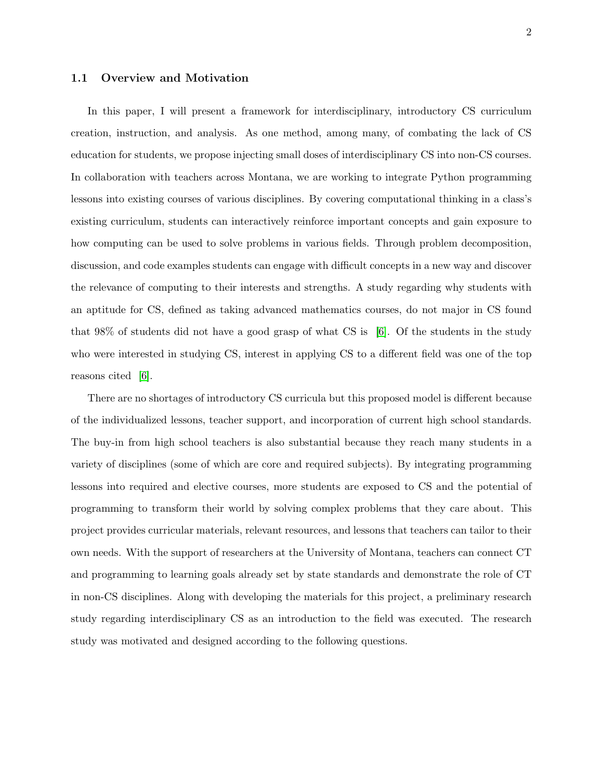#### <span id="page-9-0"></span>1.1 Overview and Motivation

In this paper, I will present a framework for interdisciplinary, introductory CS curriculum creation, instruction, and analysis. As one method, among many, of combating the lack of CS education for students, we propose injecting small doses of interdisciplinary CS into non-CS courses. In collaboration with teachers across Montana, we are working to integrate Python programming lessons into existing courses of various disciplines. By covering computational thinking in a class's existing curriculum, students can interactively reinforce important concepts and gain exposure to how computing can be used to solve problems in various fields. Through problem decomposition, discussion, and code examples students can engage with difficult concepts in a new way and discover the relevance of computing to their interests and strengths. A study regarding why students with an aptitude for CS, defined as taking advanced mathematics courses, do not major in CS found that 98% of students did not have a good grasp of what CS is  $[6]$ . Of the students in the study who were interested in studying CS, interest in applying CS to a different field was one of the top reasons cited [\[6\]](#page-58-6).

There are no shortages of introductory CS curricula but this proposed model is different because of the individualized lessons, teacher support, and incorporation of current high school standards. The buy-in from high school teachers is also substantial because they reach many students in a variety of disciplines (some of which are core and required subjects). By integrating programming lessons into required and elective courses, more students are exposed to CS and the potential of programming to transform their world by solving complex problems that they care about. This project provides curricular materials, relevant resources, and lessons that teachers can tailor to their own needs. With the support of researchers at the University of Montana, teachers can connect CT and programming to learning goals already set by state standards and demonstrate the role of CT in non-CS disciplines. Along with developing the materials for this project, a preliminary research study regarding interdisciplinary CS as an introduction to the field was executed. The research study was motivated and designed according to the following questions.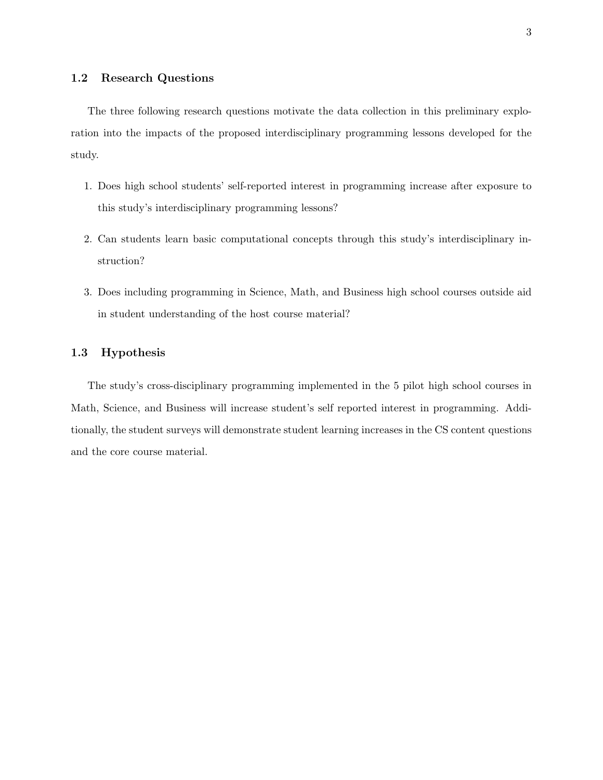<span id="page-10-0"></span>The three following research questions motivate the data collection in this preliminary exploration into the impacts of the proposed interdisciplinary programming lessons developed for the study.

- 1. Does high school students' self-reported interest in programming increase after exposure to this study's interdisciplinary programming lessons?
- 2. Can students learn basic computational concepts through this study's interdisciplinary instruction?
- 3. Does including programming in Science, Math, and Business high school courses outside aid in student understanding of the host course material?

#### <span id="page-10-1"></span>1.3 Hypothesis

The study's cross-disciplinary programming implemented in the 5 pilot high school courses in Math, Science, and Business will increase student's self reported interest in programming. Additionally, the student surveys will demonstrate student learning increases in the CS content questions and the core course material.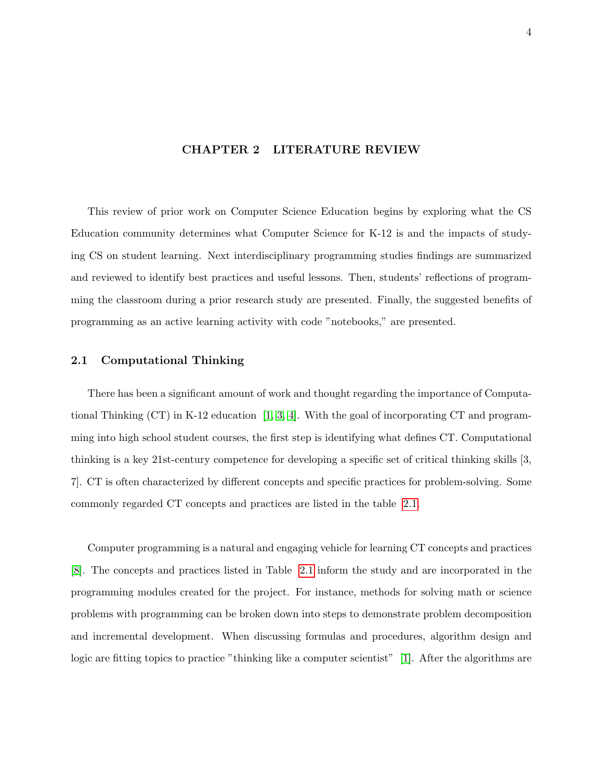#### <span id="page-11-0"></span>CHAPTER 2 LITERATURE REVIEW

This review of prior work on Computer Science Education begins by exploring what the CS Education community determines what Computer Science for K-12 is and the impacts of studying CS on student learning. Next interdisciplinary programming studies findings are summarized and reviewed to identify best practices and useful lessons. Then, students' reflections of programming the classroom during a prior research study are presented. Finally, the suggested benefits of programming as an active learning activity with code "notebooks," are presented.

#### <span id="page-11-1"></span>2.1 Computational Thinking

There has been a significant amount of work and thought regarding the importance of Computational Thinking  $(CT)$  in K-12 education [\[1,](#page-58-1) [3,](#page-58-3) [4\]](#page-58-4). With the goal of incorporating CT and programming into high school student courses, the first step is identifying what defines CT. Computational thinking is a key 21st-century competence for developing a specific set of critical thinking skills [3, 7]. CT is often characterized by different concepts and specific practices for problem-solving. Some commonly regarded CT concepts and practices are listed in the table [2.1.](#page-12-2)

Computer programming is a natural and engaging vehicle for learning CT concepts and practices [\[8\]](#page-58-8). The concepts and practices listed in Table [2.1](#page-12-2) inform the study and are incorporated in the programming modules created for the project. For instance, methods for solving math or science problems with programming can be broken down into steps to demonstrate problem decomposition and incremental development. When discussing formulas and procedures, algorithm design and logic are fitting topics to practice "thinking like a computer scientist" [\[1\]](#page-58-1). After the algorithms are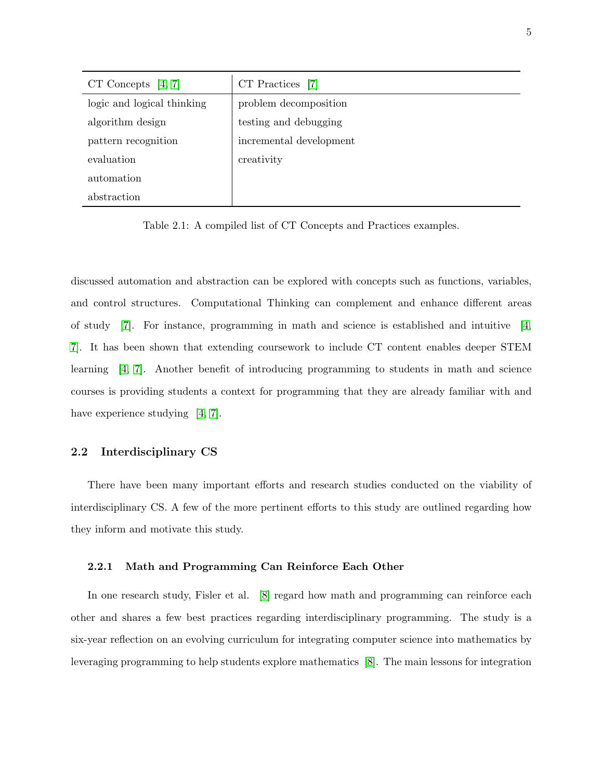<span id="page-12-2"></span>

| CT Concepts $[4, 7]$       | CT Practices [7]        |
|----------------------------|-------------------------|
| logic and logical thinking | problem decomposition   |
| algorithm design           | testing and debugging   |
| pattern recognition        | incremental development |
| evaluation                 | creativity              |
| automation                 |                         |
| abstraction                |                         |

Table 2.1: A compiled list of CT Concepts and Practices examples.

discussed automation and abstraction can be explored with concepts such as functions, variables, and control structures. Computational Thinking can complement and enhance different areas of study  $[7]$ . For instance, programming in math and science is established and intuitive  $[4]$ , [7\]](#page-58-7). It has been shown that extending coursework to include CT content enables deeper STEM learning [\[4,](#page-58-4) [7\]](#page-58-7). Another benefit of introducing programming to students in math and science courses is providing students a context for programming that they are already familiar with and have experience studying [\[4,](#page-58-4) [7\]](#page-58-7).

#### <span id="page-12-0"></span>2.2 Interdisciplinary CS

There have been many important efforts and research studies conducted on the viability of interdisciplinary CS. A few of the more pertinent efforts to this study are outlined regarding how they inform and motivate this study.

#### <span id="page-12-1"></span>2.2.1 Math and Programming Can Reinforce Each Other

In one research study, Fisler et al. [\[8\]](#page-58-8) regard how math and programming can reinforce each other and shares a few best practices regarding interdisciplinary programming. The study is a six-year reflection on an evolving curriculum for integrating computer science into mathematics by leveraging programming to help students explore mathematics [\[8\]](#page-58-8). The main lessons for integration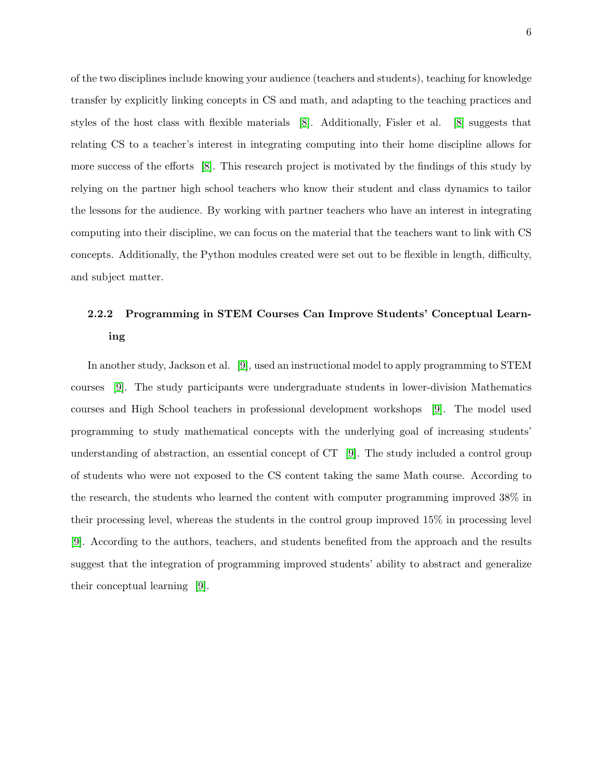of the two disciplines include knowing your audience (teachers and students), teaching for knowledge transfer by explicitly linking concepts in CS and math, and adapting to the teaching practices and styles of the host class with flexible materials [\[8\]](#page-58-8). Additionally, Fisler et al. [\[8\]](#page-58-8) suggests that relating CS to a teacher's interest in integrating computing into their home discipline allows for more success of the efforts [\[8\]](#page-58-8). This research project is motivated by the findings of this study by relying on the partner high school teachers who know their student and class dynamics to tailor the lessons for the audience. By working with partner teachers who have an interest in integrating computing into their discipline, we can focus on the material that the teachers want to link with CS concepts. Additionally, the Python modules created were set out to be flexible in length, difficulty, and subject matter.

# <span id="page-13-0"></span>2.2.2 Programming in STEM Courses Can Improve Students' Conceptual Learning

In another study, Jackson et al. [\[9\]](#page-59-0), used an instructional model to apply programming to STEM courses [\[9\]](#page-59-0). The study participants were undergraduate students in lower-division Mathematics courses and High School teachers in professional development workshops [\[9\]](#page-59-0). The model used programming to study mathematical concepts with the underlying goal of increasing students' understanding of abstraction, an essential concept of  $CT$  [\[9\]](#page-59-0). The study included a control group of students who were not exposed to the CS content taking the same Math course. According to the research, the students who learned the content with computer programming improved 38% in their processing level, whereas the students in the control group improved 15% in processing level [\[9\]](#page-59-0). According to the authors, teachers, and students benefited from the approach and the results suggest that the integration of programming improved students' ability to abstract and generalize their conceptual learning [\[9\]](#page-59-0).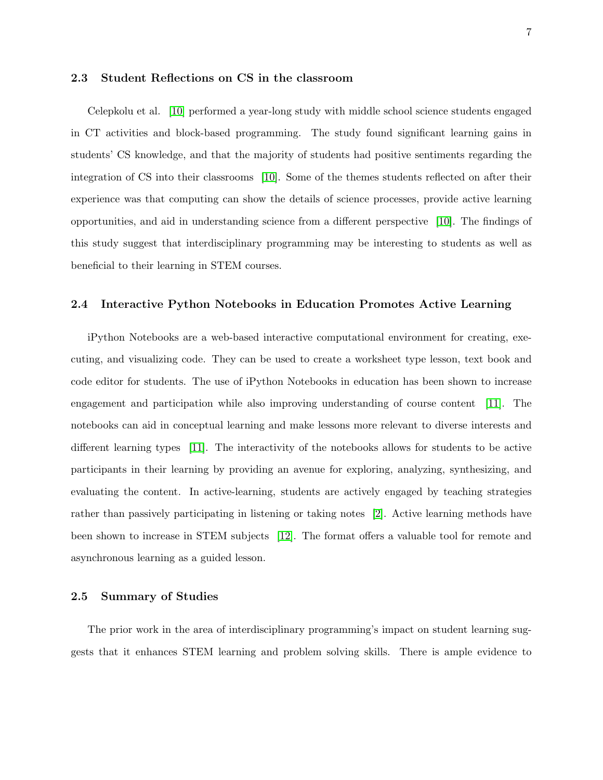#### <span id="page-14-0"></span>2.3 Student Reflections on CS in the classroom

Celepkolu et al. [\[10\]](#page-59-1) performed a year-long study with middle school science students engaged in CT activities and block-based programming. The study found significant learning gains in students' CS knowledge, and that the majority of students had positive sentiments regarding the integration of CS into their classrooms [\[10\]](#page-59-1). Some of the themes students reflected on after their experience was that computing can show the details of science processes, provide active learning opportunities, and aid in understanding science from a different perspective [\[10\]](#page-59-1). The findings of this study suggest that interdisciplinary programming may be interesting to students as well as beneficial to their learning in STEM courses.

#### <span id="page-14-1"></span>2.4 Interactive Python Notebooks in Education Promotes Active Learning

iPython Notebooks are a web-based interactive computational environment for creating, executing, and visualizing code. They can be used to create a worksheet type lesson, text book and code editor for students. The use of iPython Notebooks in education has been shown to increase engagement and participation while also improving understanding of course content [\[11\]](#page-59-2). The notebooks can aid in conceptual learning and make lessons more relevant to diverse interests and different learning types [\[11\]](#page-59-2). The interactivity of the notebooks allows for students to be active participants in their learning by providing an avenue for exploring, analyzing, synthesizing, and evaluating the content. In active-learning, students are actively engaged by teaching strategies rather than passively participating in listening or taking notes [\[2\]](#page-58-2). Active learning methods have been shown to increase in STEM subjects [\[12\]](#page-59-3). The format offers a valuable tool for remote and asynchronous learning as a guided lesson.

#### <span id="page-14-2"></span>2.5 Summary of Studies

The prior work in the area of interdisciplinary programming's impact on student learning suggests that it enhances STEM learning and problem solving skills. There is ample evidence to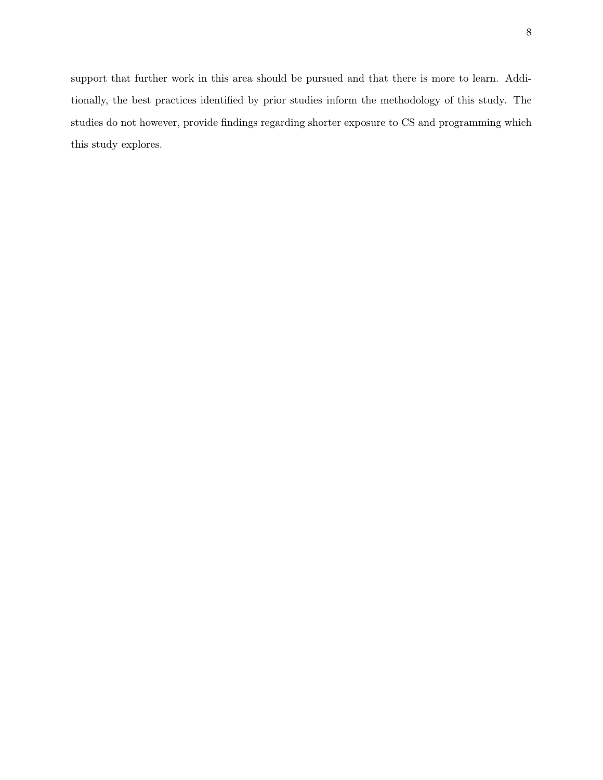support that further work in this area should be pursued and that there is more to learn. Additionally, the best practices identified by prior studies inform the methodology of this study. The studies do not however, provide findings regarding shorter exposure to CS and programming which this study explores.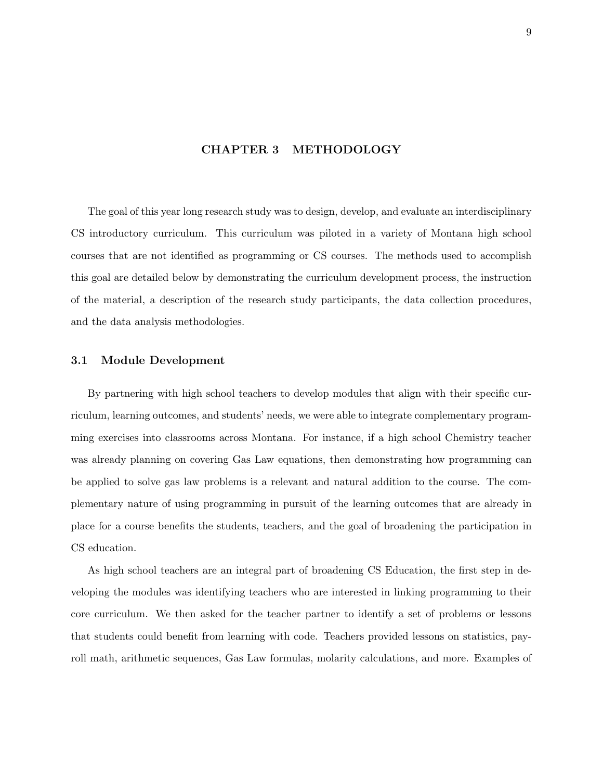#### CHAPTER 3 METHODOLOGY

<span id="page-16-0"></span>The goal of this year long research study was to design, develop, and evaluate an interdisciplinary CS introductory curriculum. This curriculum was piloted in a variety of Montana high school courses that are not identified as programming or CS courses. The methods used to accomplish this goal are detailed below by demonstrating the curriculum development process, the instruction of the material, a description of the research study participants, the data collection procedures, and the data analysis methodologies.

#### <span id="page-16-1"></span>3.1 Module Development

By partnering with high school teachers to develop modules that align with their specific curriculum, learning outcomes, and students' needs, we were able to integrate complementary programming exercises into classrooms across Montana. For instance, if a high school Chemistry teacher was already planning on covering Gas Law equations, then demonstrating how programming can be applied to solve gas law problems is a relevant and natural addition to the course. The complementary nature of using programming in pursuit of the learning outcomes that are already in place for a course benefits the students, teachers, and the goal of broadening the participation in CS education.

As high school teachers are an integral part of broadening CS Education, the first step in developing the modules was identifying teachers who are interested in linking programming to their core curriculum. We then asked for the teacher partner to identify a set of problems or lessons that students could benefit from learning with code. Teachers provided lessons on statistics, payroll math, arithmetic sequences, Gas Law formulas, molarity calculations, and more. Examples of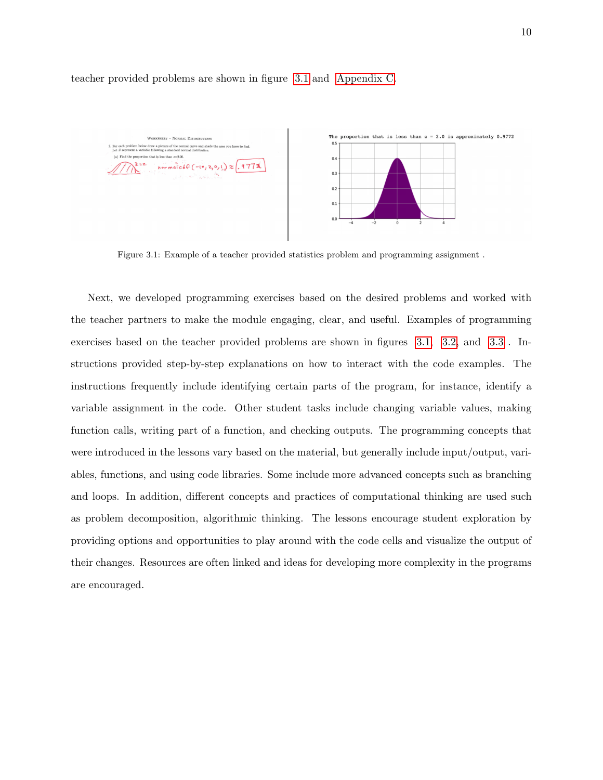

teacher provided problems are shown in figure [3.1](#page-17-0) and [Appendix C.](#page-45-0)

<span id="page-17-0"></span>Figure 3.1: Example of a teacher provided statistics problem and programming assignment .

Next, we developed programming exercises based on the desired problems and worked with the teacher partners to make the module engaging, clear, and useful. Examples of programming exercises based on the teacher provided problems are shown in figures [3.1,](#page-17-0) [3.2,](#page-18-0) and [3.3](#page-19-1) . Instructions provided step-by-step explanations on how to interact with the code examples. The instructions frequently include identifying certain parts of the program, for instance, identify a variable assignment in the code. Other student tasks include changing variable values, making function calls, writing part of a function, and checking outputs. The programming concepts that were introduced in the lessons vary based on the material, but generally include input/output, variables, functions, and using code libraries. Some include more advanced concepts such as branching and loops. In addition, different concepts and practices of computational thinking are used such as problem decomposition, algorithmic thinking. The lessons encourage student exploration by providing options and opportunities to play around with the code cells and visualize the output of their changes. Resources are often linked and ideas for developing more complexity in the programs are encouraged.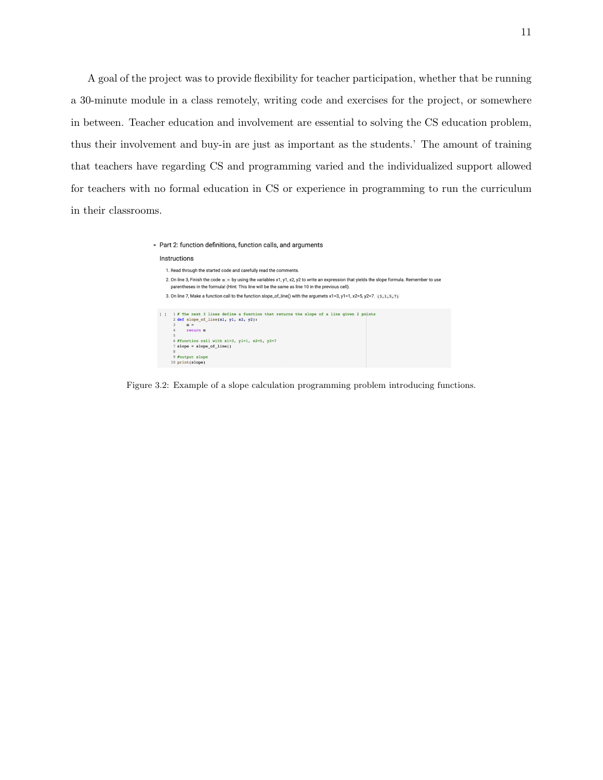A goal of the project was to provide flexibility for teacher participation, whether that be running a 30-minute module in a class remotely, writing code and exercises for the project, or somewhere in between. Teacher education and involvement are essential to solving the CS education problem, thus their involvement and buy-in are just as important as the students.' The amount of training that teachers have regarding CS and programming varied and the individualized support allowed for teachers with no formal education in CS or experience in programming to run the curriculum in their classrooms.

| $\sim$ Part 2: function definitions, function calls, and arguments                                                                                                                                                                                                                           |
|----------------------------------------------------------------------------------------------------------------------------------------------------------------------------------------------------------------------------------------------------------------------------------------------|
| Instructions                                                                                                                                                                                                                                                                                 |
| 1. Read through the started code and carefully read the comments.                                                                                                                                                                                                                            |
| 2. On line 3, Finish the code m = by using the variables x1, y1, x2, y2 to write an expression that yields the slope formula. Remember to use<br>parentheses in the formula! (Hint: This line will be the same as line 10 in the previous cell).                                             |
| 3. On line 7, Make a function call to the function slope_of_line() with the argumets $x1=3$ , $y1=1$ , $x2=5$ , $y2=7$ , $(3,1,5,7)$                                                                                                                                                         |
| 1 # The next 3 lines define a function that returns the slope of a line given 2 points<br>2 def slope of line(x1, y1, x2, y2):<br>3<br>$m =$<br>4<br>return m<br>5<br>6 #function call with x1=3, y1=1, x2=5, y2=7<br>$7$ slope = slope of line()<br>8<br>9 #output slope<br>10 print(slope) |

<span id="page-18-0"></span>Figure 3.2: Example of a slope calculation programming problem introducing functions.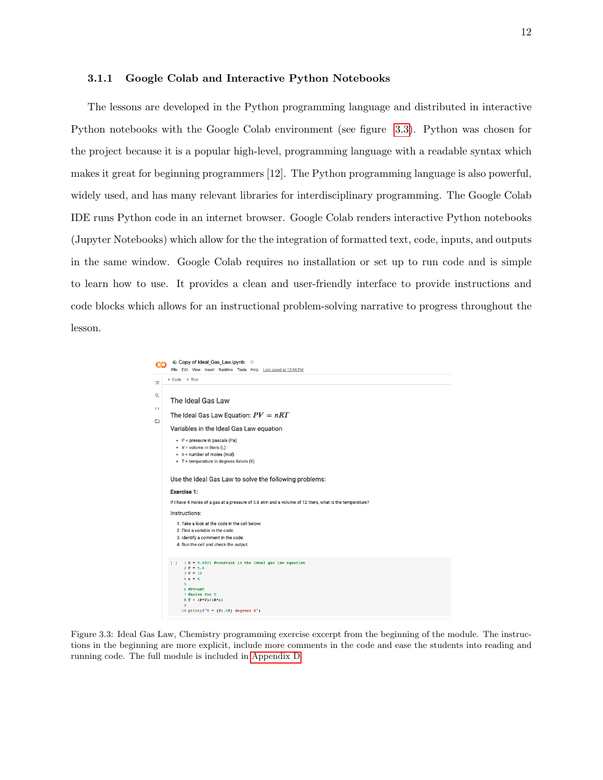#### <span id="page-19-0"></span>3.1.1 Google Colab and Interactive Python Notebooks

The lessons are developed in the Python programming language and distributed in interactive Python notebooks with the Google Colab environment (see figure [3.3\)](#page-19-1). Python was chosen for the project because it is a popular high-level, programming language with a readable syntax which makes it great for beginning programmers [12]. The Python programming language is also powerful, widely used, and has many relevant libraries for interdisciplinary programming. The Google Colab IDE runs Python code in an internet browser. Google Colab renders interactive Python notebooks (Jupyter Notebooks) which allow for the the integration of formatted text, code, inputs, and outputs in the same window. Google Colab requires no installation or set up to run code and is simple to learn how to use. It provides a clean and user-friendly interface to provide instructions and code blocks which allows for an instructional problem-solving narrative to progress throughout the lesson.



<span id="page-19-1"></span>Figure 3.3: Ideal Gas Law, Chemistry programming exercise excerpt from the beginning of the module. The instructions in the beginning are more explicit, include more comments in the code and ease the students into reading and running code. The full module is included in [Appendix D.](#page-49-0)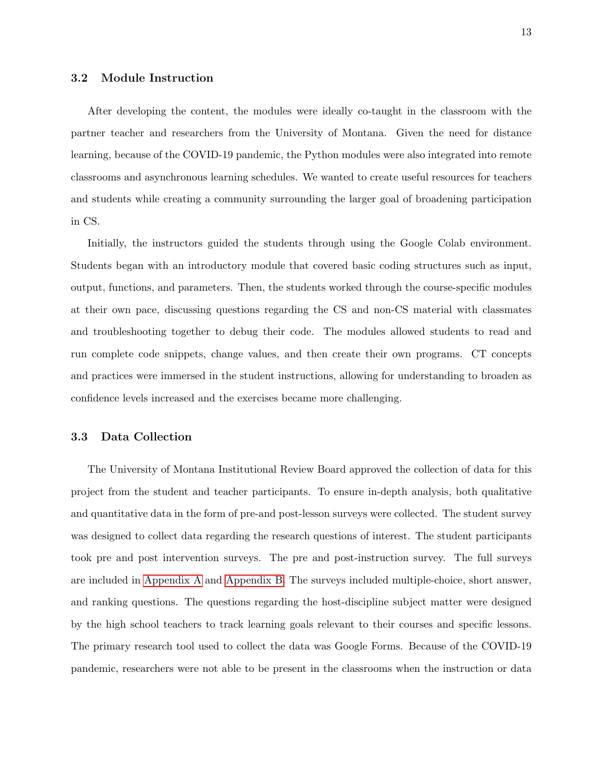#### <span id="page-20-0"></span>3.2 Module Instruction

After developing the content, the modules were ideally co-taught in the classroom with the partner teacher and researchers from the University of Montana. Given the need for distance learning, because of the COVID-19 pandemic, the Python modules were also integrated into remote classrooms and asynchronous learning schedules. We wanted to create useful resources for teachers and students while creating a community surrounding the larger goal of broadening participation in CS.

Initially, the instructors guided the students through using the Google Colab environment. Students began with an introductory module that covered basic coding structures such as input, output, functions, and parameters. Then, the students worked through the course-specific modules at their own pace, discussing questions regarding the CS and non-CS material with classmates and troubleshooting together to debug their code. The modules allowed students to read and run complete code snippets, change values, and then create their own programs. CT concepts and practices were immersed in the student instructions, allowing for understanding to broaden as confidence levels increased and the exercises became more challenging.

#### <span id="page-20-1"></span>3.3 Data Collection

The University of Montana Institutional Review Board approved the collection of data for this project from the student and teacher participants. To ensure in-depth analysis, both qualitative and quantitative data in the form of pre-and post-lesson surveys were collected. The student survey was designed to collect data regarding the research questions of interest. The student participants took pre and post intervention surveys. The pre and post-instruction survey. The full surveys are included in [Appendix A](#page-34-0) and [Appendix B.](#page-41-0) The surveys included multiple-choice, short answer, and ranking questions. The questions regarding the host-discipline subject matter were designed by the high school teachers to track learning goals relevant to their courses and specific lessons. The primary research tool used to collect the data was Google Forms. Because of the COVID-19 pandemic, researchers were not able to be present in the classrooms when the instruction or data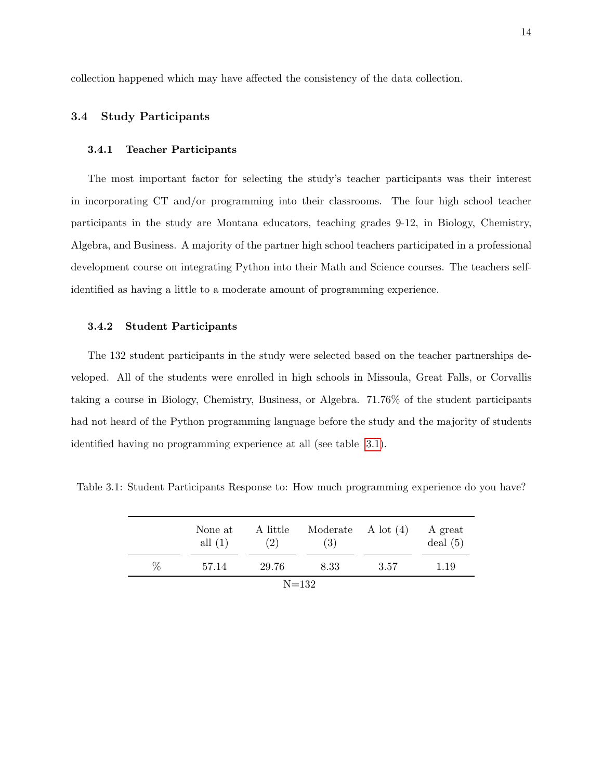collection happened which may have affected the consistency of the data collection.

#### <span id="page-21-0"></span>3.4 Study Participants

#### <span id="page-21-1"></span>3.4.1 Teacher Participants

The most important factor for selecting the study's teacher participants was their interest in incorporating CT and/or programming into their classrooms. The four high school teacher participants in the study are Montana educators, teaching grades 9-12, in Biology, Chemistry, Algebra, and Business. A majority of the partner high school teachers participated in a professional development course on integrating Python into their Math and Science courses. The teachers selfidentified as having a little to a moderate amount of programming experience.

#### <span id="page-21-2"></span>3.4.2 Student Participants

The 132 student participants in the study were selected based on the teacher partnerships developed. All of the students were enrolled in high schools in Missoula, Great Falls, or Corvallis taking a course in Biology, Chemistry, Business, or Algebra. 71.76% of the student participants had not heard of the Python programming language before the study and the majority of students identified having no programming experience at all (see table [3.1\)](#page-21-3).

<span id="page-21-3"></span>Table 3.1: Student Participants Response to: How much programming experience do you have?

|           | None at<br>all $(1)$ | A little<br>(2) | Moderate $\Lambda$ lot $(4)$<br>(3) |      | A great<br>deal(5) |  |  |
|-----------|----------------------|-----------------|-------------------------------------|------|--------------------|--|--|
| ℅         | 57.14                | 29.76           | 8.33                                | 3.57 | 1.19               |  |  |
| $N = 132$ |                      |                 |                                     |      |                    |  |  |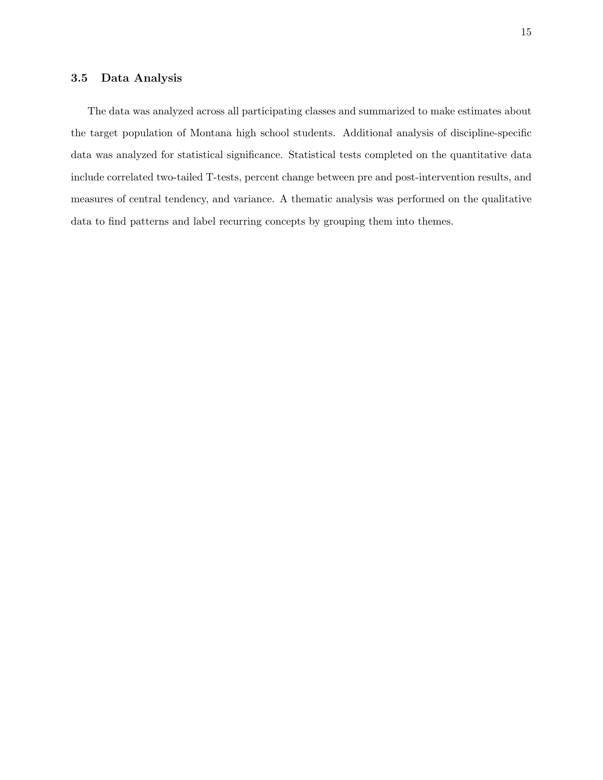#### <span id="page-22-0"></span>3.5 Data Analysis

The data was analyzed across all participating classes and summarized to make estimates about the target population of Montana high school students. Additional analysis of discipline-specific data was analyzed for statistical significance. Statistical tests completed on the quantitative data include correlated two-tailed T-tests, percent change between pre and post-intervention results, and measures of central tendency, and variance. A thematic analysis was performed on the qualitative data to find patterns and label recurring concepts by grouping them into themes.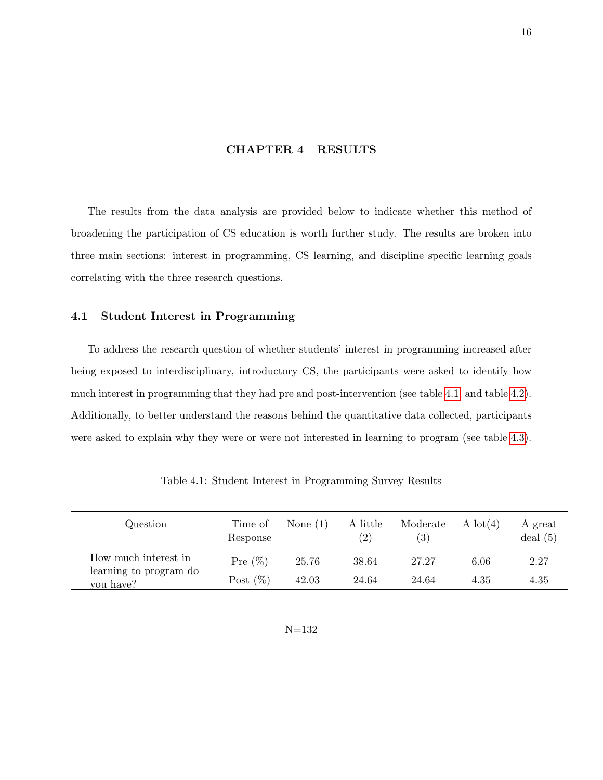#### CHAPTER 4 RESULTS

<span id="page-23-0"></span>The results from the data analysis are provided below to indicate whether this method of broadening the participation of CS education is worth further study. The results are broken into three main sections: interest in programming, CS learning, and discipline specific learning goals correlating with the three research questions.

#### <span id="page-23-1"></span>4.1 Student Interest in Programming

To address the research question of whether students' interest in programming increased after being exposed to interdisciplinary, introductory CS, the participants were asked to identify how much interest in programming that they had pre and post-intervention (see table [4.1,](#page-23-2) and table [4.2\)](#page-24-0). Additionally, to better understand the reasons behind the quantitative data collected, participants were asked to explain why they were or were not interested in learning to program (see table [4.3\)](#page-25-0).

<span id="page-23-2"></span>

| Question                            | Time of<br>Response | None $(1)$ | A little<br>(2) | Moderate<br>(3) | A $\text{lot}(4)$ | A great<br>deal(5) |
|-------------------------------------|---------------------|------------|-----------------|-----------------|-------------------|--------------------|
| How much interest in                | Pre $(\%)$          | 25.76      | 38.64           | 27.27           | 6.06              | 2.27               |
| learning to program do<br>you have? | Post $(\%)$         | 42.03      | 24.64           | 24.64           | 4.35              | 4.35               |

Table 4.1: Student Interest in Programming Survey Results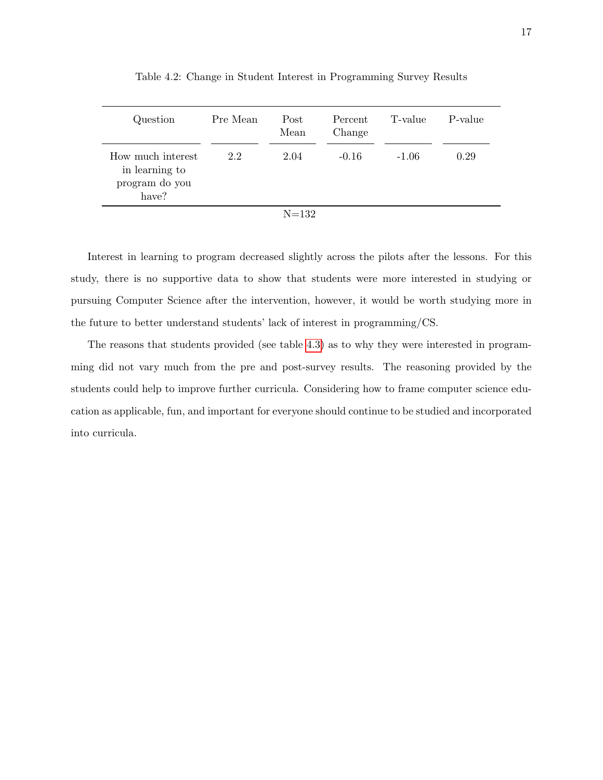<span id="page-24-0"></span>

| Question                                                       | Pre Mean | Post<br>Mean | Percent<br>Change | T-value | P-value |
|----------------------------------------------------------------|----------|--------------|-------------------|---------|---------|
| How much interest<br>in learning to<br>program do you<br>have? | 2.2      | 2.04         | $-0.16$           | $-1.06$ | 0.29    |
|                                                                |          | $N = 132$    |                   |         |         |

Table 4.2: Change in Student Interest in Programming Survey Results

Interest in learning to program decreased slightly across the pilots after the lessons. For this study, there is no supportive data to show that students were more interested in studying or pursuing Computer Science after the intervention, however, it would be worth studying more in the future to better understand students' lack of interest in programming/CS.

The reasons that students provided (see table [4.3\)](#page-25-0) as to why they were interested in programming did not vary much from the pre and post-survey results. The reasoning provided by the students could help to improve further curricula. Considering how to frame computer science education as applicable, fun, and important for everyone should continue to be studied and incorporated into curricula.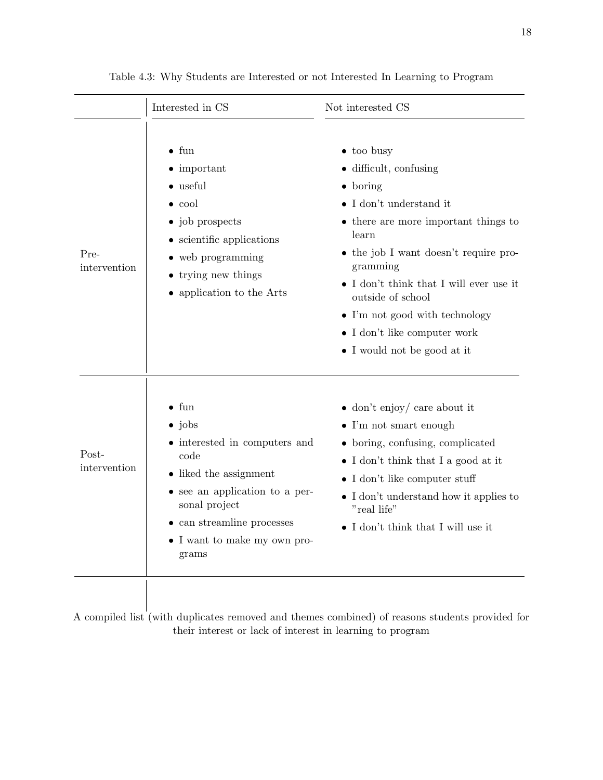<span id="page-25-0"></span>

|                       | Interested in CS                                                                                                                                                                                                                     | Not interested CS                                                                                                                                                                                                                                                                                                                                                                                  |
|-----------------------|--------------------------------------------------------------------------------------------------------------------------------------------------------------------------------------------------------------------------------------|----------------------------------------------------------------------------------------------------------------------------------------------------------------------------------------------------------------------------------------------------------------------------------------------------------------------------------------------------------------------------------------------------|
| Pre-<br>intervention  | $\bullet$ fun<br>$\bullet$ important<br>$\bullet$ useful<br>$\bullet$ cool<br>• job prospects<br>• scientific applications<br>$\bullet$ web programming<br>• trying new things<br>• application to the Arts                          | $\bullet$ too busy<br>$\bullet$ difficult, confusing<br>$\bullet$ boring<br>$\bullet$ I don't understand it<br>• there are more important things to<br>learn<br>• the job I want doesn't require pro-<br>gramming<br>$\bullet$ I don't think that I will ever use it<br>outside of school<br>• I'm not good with technology<br>$\bullet$ I don't like computer work<br>• I would not be good at it |
| Post-<br>intervention | $\bullet$ fun<br>$\bullet$ jobs<br>• interested in computers and<br>code<br>• liked the assignment<br>• see an application to a per-<br>sonal project<br>$\bullet$ can streamline processes<br>• I want to make my own pro-<br>grams | $\bullet$ don't enjoy/ care about it<br>$\bullet$ I'm not smart enough<br>• boring, confusing, complicated<br>• I don't think that I a good at it<br>$\bullet$ I don't like computer stuff<br>• I don't understand how it applies to<br>"real life"<br>• I don't think that I will use it                                                                                                          |

Table 4.3: Why Students are Interested or not Interested In Learning to Program

A compiled list (with duplicates removed and themes combined) of reasons students provided for their interest or lack of interest in learning to program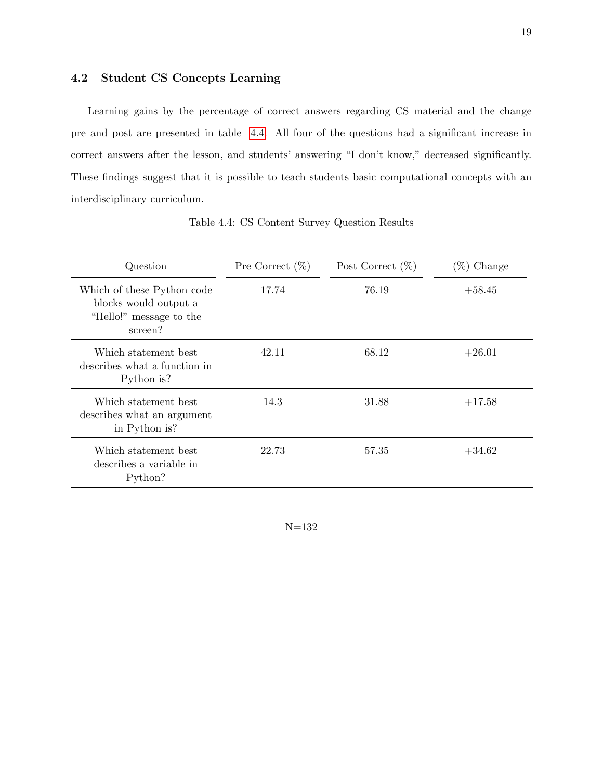#### <span id="page-26-0"></span>4.2 Student CS Concepts Learning

Learning gains by the percentage of correct answers regarding CS material and the change pre and post are presented in table [4.4.](#page-26-1) All four of the questions had a significant increase in correct answers after the lesson, and students' answering "I don't know," decreased significantly. These findings suggest that it is possible to teach students basic computational concepts with an interdisciplinary curriculum.

<span id="page-26-1"></span>

| Question                                                                                  | Pre Correct $(\%)$ | Post Correct $(\%)$ | $(\%)$ Change |
|-------------------------------------------------------------------------------------------|--------------------|---------------------|---------------|
| Which of these Python code<br>blocks would output a<br>"Hello!" message to the<br>screen? | 17.74              | 76.19               | $+58.45$      |
| Which statement best<br>describes what a function in<br>Python is?                        | 42.11              | 68.12               | $+26.01$      |
| Which statement best<br>describes what an argument<br>in Python is?                       | 14.3               | 31.88               | $+17.58$      |
| Which statement best<br>describes a variable in<br>Python?                                | 22.73              | 57.35               | $+34.62$      |

Table 4.4: CS Content Survey Question Results

N=132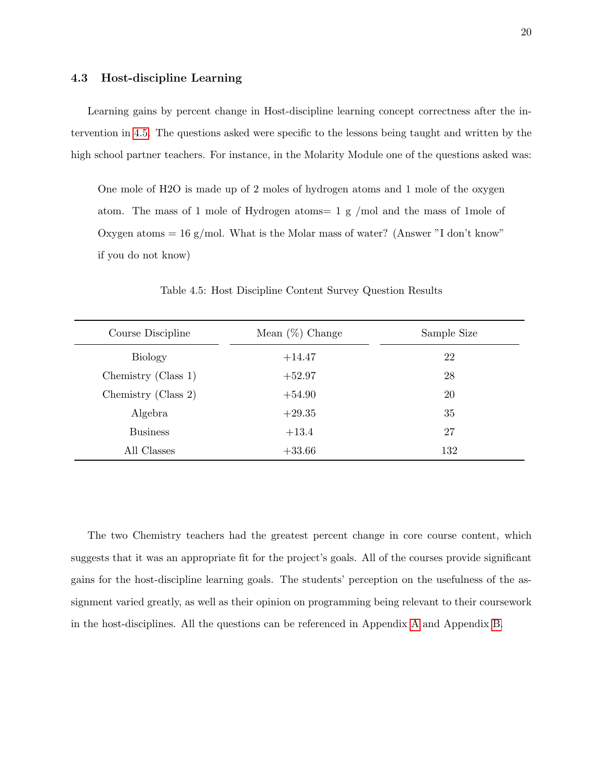#### <span id="page-27-0"></span>4.3 Host-discipline Learning

Learning gains by percent change in Host-discipline learning concept correctness after the intervention in [4.5.](#page-27-1) The questions asked were specific to the lessons being taught and written by the high school partner teachers. For instance, in the Molarity Module one of the questions asked was:

One mole of H2O is made up of 2 moles of hydrogen atoms and 1 mole of the oxygen atom. The mass of 1 mole of Hydrogen atoms= 1 g /mol and the mass of 1mole of Oxygen atoms  $= 16$  g/mol. What is the Molar mass of water? (Answer "I don't know" if you do not know)

<span id="page-27-1"></span>

| Course Discipline   | Mean $(\%)$ Change | Sample Size |
|---------------------|--------------------|-------------|
| <b>Biology</b>      | $+14.47$           | 22          |
| Chemistry (Class 1) | $+52.97$           | 28          |
| Chemistry (Class 2) | $+54.90$           | 20          |
| Algebra             | $+29.35$           | 35          |
| <b>Business</b>     | $+13.4$            | 27          |
| All Classes         | $+33.66$           | 132         |

Table 4.5: Host Discipline Content Survey Question Results

The two Chemistry teachers had the greatest percent change in core course content, which suggests that it was an appropriate fit for the project's goals. All of the courses provide significant gains for the host-discipline learning goals. The students' perception on the usefulness of the assignment varied greatly, as well as their opinion on programming being relevant to their coursework in the host-disciplines. All the questions can be referenced in Appendix [A](#page-34-0) and Appendix [B.](#page-41-0)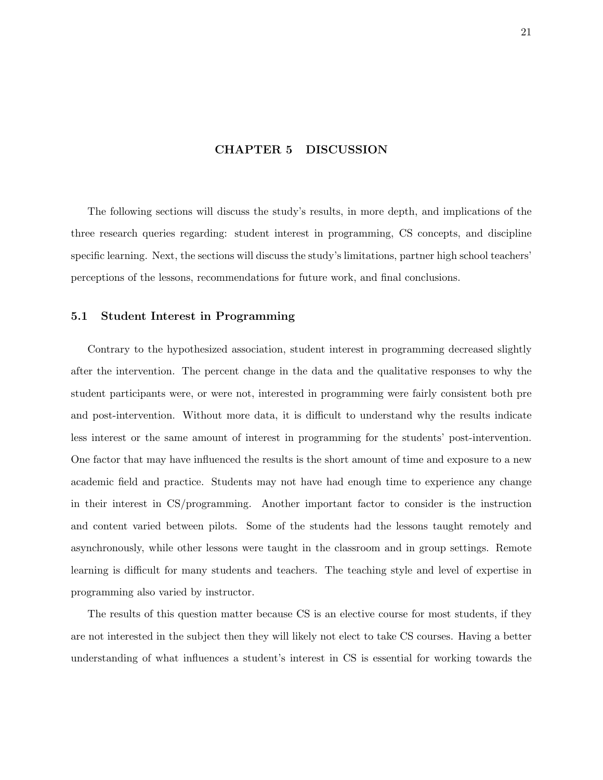#### CHAPTER 5 DISCUSSION

<span id="page-28-0"></span>The following sections will discuss the study's results, in more depth, and implications of the three research queries regarding: student interest in programming, CS concepts, and discipline specific learning. Next, the sections will discuss the study's limitations, partner high school teachers' perceptions of the lessons, recommendations for future work, and final conclusions.

#### <span id="page-28-1"></span>5.1 Student Interest in Programming

Contrary to the hypothesized association, student interest in programming decreased slightly after the intervention. The percent change in the data and the qualitative responses to why the student participants were, or were not, interested in programming were fairly consistent both pre and post-intervention. Without more data, it is difficult to understand why the results indicate less interest or the same amount of interest in programming for the students' post-intervention. One factor that may have influenced the results is the short amount of time and exposure to a new academic field and practice. Students may not have had enough time to experience any change in their interest in CS/programming. Another important factor to consider is the instruction and content varied between pilots. Some of the students had the lessons taught remotely and asynchronously, while other lessons were taught in the classroom and in group settings. Remote learning is difficult for many students and teachers. The teaching style and level of expertise in programming also varied by instructor.

The results of this question matter because CS is an elective course for most students, if they are not interested in the subject then they will likely not elect to take CS courses. Having a better understanding of what influences a student's interest in CS is essential for working towards the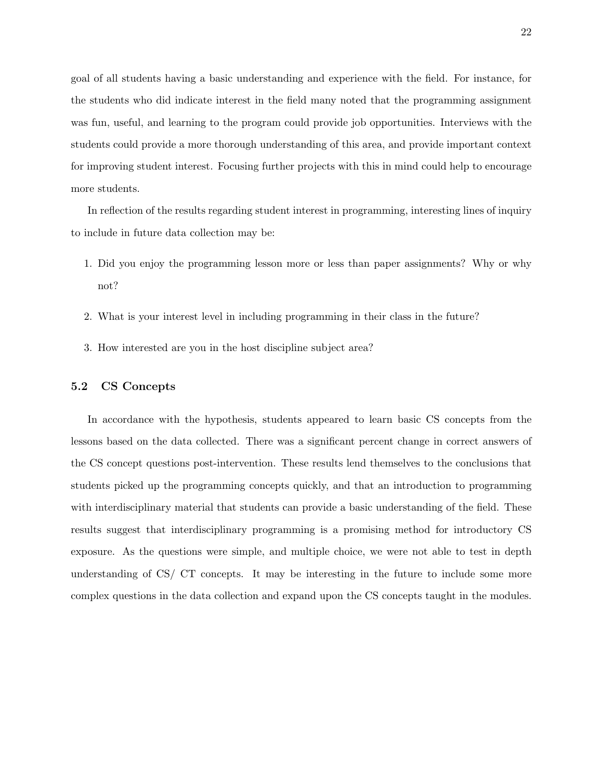goal of all students having a basic understanding and experience with the field. For instance, for the students who did indicate interest in the field many noted that the programming assignment was fun, useful, and learning to the program could provide job opportunities. Interviews with the students could provide a more thorough understanding of this area, and provide important context for improving student interest. Focusing further projects with this in mind could help to encourage more students.

In reflection of the results regarding student interest in programming, interesting lines of inquiry to include in future data collection may be:

- 1. Did you enjoy the programming lesson more or less than paper assignments? Why or why not?
- 2. What is your interest level in including programming in their class in the future?
- 3. How interested are you in the host discipline subject area?

#### <span id="page-29-0"></span>5.2 CS Concepts

In accordance with the hypothesis, students appeared to learn basic CS concepts from the lessons based on the data collected. There was a significant percent change in correct answers of the CS concept questions post-intervention. These results lend themselves to the conclusions that students picked up the programming concepts quickly, and that an introduction to programming with interdisciplinary material that students can provide a basic understanding of the field. These results suggest that interdisciplinary programming is a promising method for introductory CS exposure. As the questions were simple, and multiple choice, we were not able to test in depth understanding of CS/ CT concepts. It may be interesting in the future to include some more complex questions in the data collection and expand upon the CS concepts taught in the modules.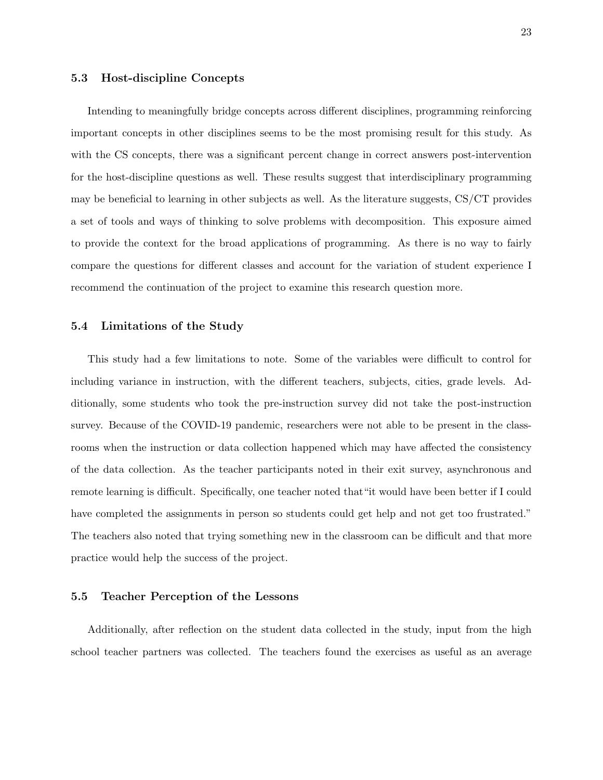#### <span id="page-30-0"></span>5.3 Host-discipline Concepts

Intending to meaningfully bridge concepts across different disciplines, programming reinforcing important concepts in other disciplines seems to be the most promising result for this study. As with the CS concepts, there was a significant percent change in correct answers post-intervention for the host-discipline questions as well. These results suggest that interdisciplinary programming may be beneficial to learning in other subjects as well. As the literature suggests, CS/CT provides a set of tools and ways of thinking to solve problems with decomposition. This exposure aimed to provide the context for the broad applications of programming. As there is no way to fairly compare the questions for different classes and account for the variation of student experience I recommend the continuation of the project to examine this research question more.

#### <span id="page-30-1"></span>5.4 Limitations of the Study

This study had a few limitations to note. Some of the variables were difficult to control for including variance in instruction, with the different teachers, subjects, cities, grade levels. Additionally, some students who took the pre-instruction survey did not take the post-instruction survey. Because of the COVID-19 pandemic, researchers were not able to be present in the classrooms when the instruction or data collection happened which may have affected the consistency of the data collection. As the teacher participants noted in their exit survey, asynchronous and remote learning is difficult. Specifically, one teacher noted that"it would have been better if I could have completed the assignments in person so students could get help and not get too frustrated." The teachers also noted that trying something new in the classroom can be difficult and that more practice would help the success of the project.

#### <span id="page-30-2"></span>5.5 Teacher Perception of the Lessons

Additionally, after reflection on the student data collected in the study, input from the high school teacher partners was collected. The teachers found the exercises as useful as an average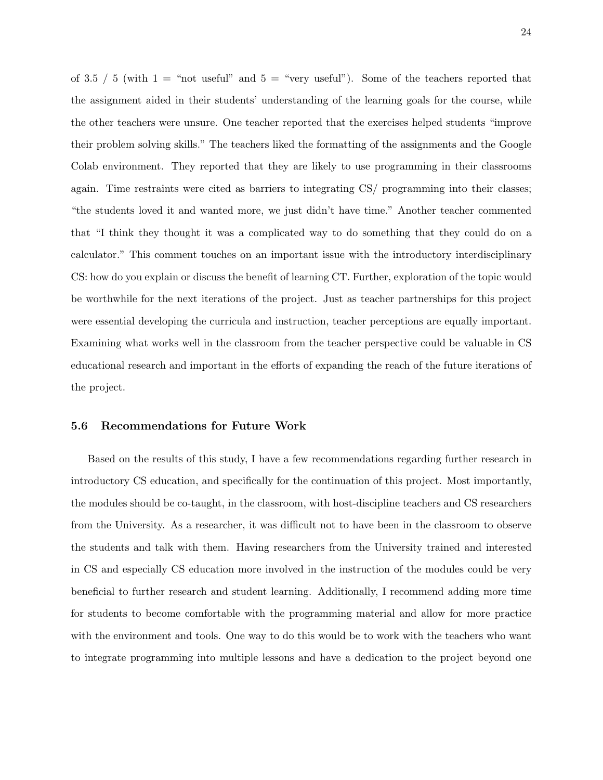of 3.5 / 5 (with  $1 =$  "not useful" and  $5 =$  "very useful"). Some of the teachers reported that the assignment aided in their students' understanding of the learning goals for the course, while the other teachers were unsure. One teacher reported that the exercises helped students "improve their problem solving skills." The teachers liked the formatting of the assignments and the Google Colab environment. They reported that they are likely to use programming in their classrooms again. Time restraints were cited as barriers to integrating CS/ programming into their classes; "the students loved it and wanted more, we just didn't have time." Another teacher commented that "I think they thought it was a complicated way to do something that they could do on a calculator." This comment touches on an important issue with the introductory interdisciplinary CS: how do you explain or discuss the benefit of learning CT. Further, exploration of the topic would be worthwhile for the next iterations of the project. Just as teacher partnerships for this project were essential developing the curricula and instruction, teacher perceptions are equally important. Examining what works well in the classroom from the teacher perspective could be valuable in CS educational research and important in the efforts of expanding the reach of the future iterations of the project.

#### <span id="page-31-0"></span>5.6 Recommendations for Future Work

Based on the results of this study, I have a few recommendations regarding further research in introductory CS education, and specifically for the continuation of this project. Most importantly, the modules should be co-taught, in the classroom, with host-discipline teachers and CS researchers from the University. As a researcher, it was difficult not to have been in the classroom to observe the students and talk with them. Having researchers from the University trained and interested in CS and especially CS education more involved in the instruction of the modules could be very beneficial to further research and student learning. Additionally, I recommend adding more time for students to become comfortable with the programming material and allow for more practice with the environment and tools. One way to do this would be to work with the teachers who want to integrate programming into multiple lessons and have a dedication to the project beyond one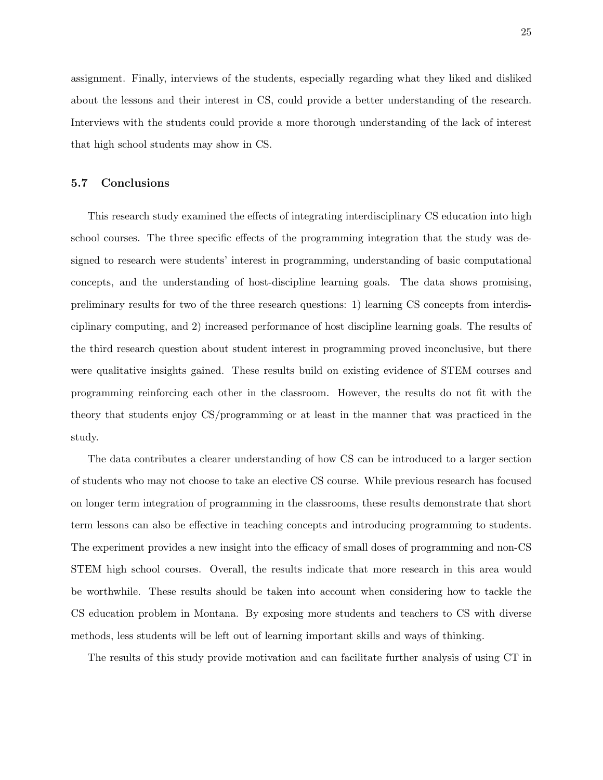assignment. Finally, interviews of the students, especially regarding what they liked and disliked about the lessons and their interest in CS, could provide a better understanding of the research. Interviews with the students could provide a more thorough understanding of the lack of interest that high school students may show in CS.

#### <span id="page-32-0"></span>5.7 Conclusions

This research study examined the effects of integrating interdisciplinary CS education into high school courses. The three specific effects of the programming integration that the study was designed to research were students' interest in programming, understanding of basic computational concepts, and the understanding of host-discipline learning goals. The data shows promising, preliminary results for two of the three research questions: 1) learning CS concepts from interdisciplinary computing, and 2) increased performance of host discipline learning goals. The results of the third research question about student interest in programming proved inconclusive, but there were qualitative insights gained. These results build on existing evidence of STEM courses and programming reinforcing each other in the classroom. However, the results do not fit with the theory that students enjoy CS/programming or at least in the manner that was practiced in the study.

The data contributes a clearer understanding of how CS can be introduced to a larger section of students who may not choose to take an elective CS course. While previous research has focused on longer term integration of programming in the classrooms, these results demonstrate that short term lessons can also be effective in teaching concepts and introducing programming to students. The experiment provides a new insight into the efficacy of small doses of programming and non-CS STEM high school courses. Overall, the results indicate that more research in this area would be worthwhile. These results should be taken into account when considering how to tackle the CS education problem in Montana. By exposing more students and teachers to CS with diverse methods, less students will be left out of learning important skills and ways of thinking.

The results of this study provide motivation and can facilitate further analysis of using CT in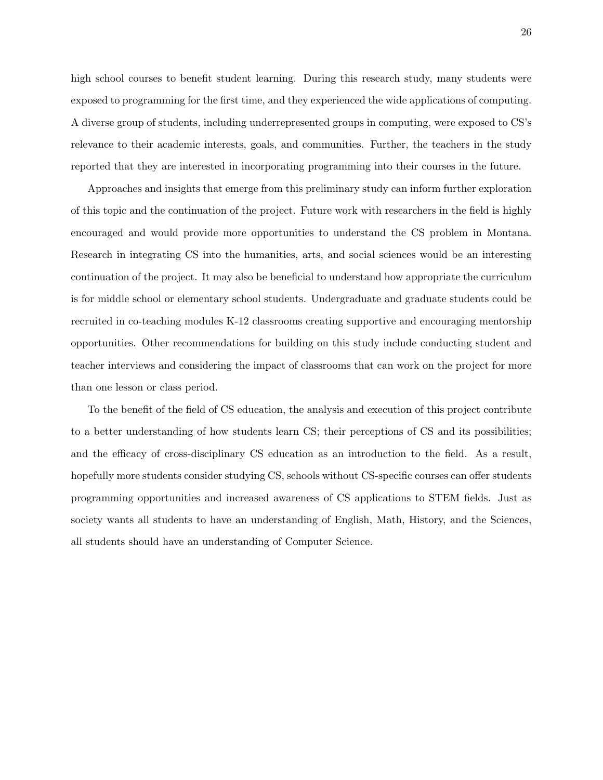high school courses to benefit student learning. During this research study, many students were exposed to programming for the first time, and they experienced the wide applications of computing. A diverse group of students, including underrepresented groups in computing, were exposed to CS's relevance to their academic interests, goals, and communities. Further, the teachers in the study reported that they are interested in incorporating programming into their courses in the future.

Approaches and insights that emerge from this preliminary study can inform further exploration of this topic and the continuation of the project. Future work with researchers in the field is highly encouraged and would provide more opportunities to understand the CS problem in Montana. Research in integrating CS into the humanities, arts, and social sciences would be an interesting continuation of the project. It may also be beneficial to understand how appropriate the curriculum is for middle school or elementary school students. Undergraduate and graduate students could be recruited in co-teaching modules K-12 classrooms creating supportive and encouraging mentorship opportunities. Other recommendations for building on this study include conducting student and teacher interviews and considering the impact of classrooms that can work on the project for more than one lesson or class period.

To the benefit of the field of CS education, the analysis and execution of this project contribute to a better understanding of how students learn CS; their perceptions of CS and its possibilities; and the efficacy of cross-disciplinary CS education as an introduction to the field. As a result, hopefully more students consider studying CS, schools without CS-specific courses can offer students programming opportunities and increased awareness of CS applications to STEM fields. Just as society wants all students to have an understanding of English, Math, History, and the Sciences, all students should have an understanding of Computer Science.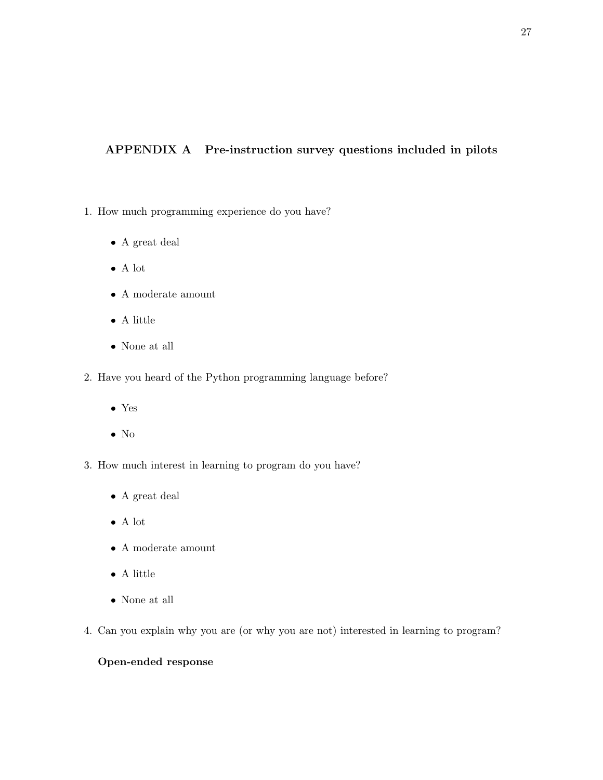### <span id="page-34-0"></span>APPENDIX A Pre-instruction survey questions included in pilots

- 1. How much programming experience do you have?
	- $\bullet\,$  A great deal
	- A lot
	- $\bullet\,$  A moderate amount
	- $\bullet\,$  A little
	- None at all
- 2. Have you heard of the Python programming language before?
	- Yes
	- No
- 3. How much interest in learning to program do you have?
	- A great deal
	- A lot
	- A moderate amount
	- $\bullet\,$  A little
	- None at all
- 4. Can you explain why you are (or why you are not) interested in learning to program?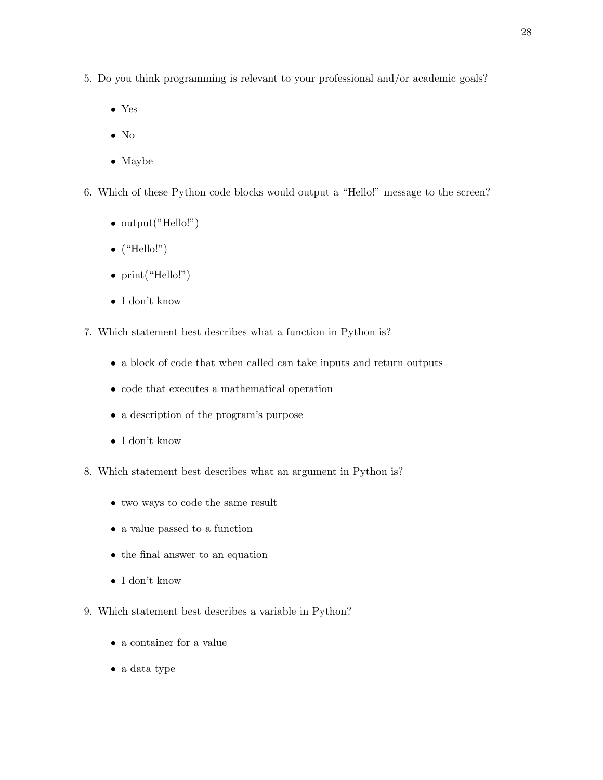- 5. Do you think programming is relevant to your professional and/or academic goals?
	- Yes
	- No
	- Maybe
- 6. Which of these Python code blocks would output a "Hello!" message to the screen?
	- output("Hello!")
	- $\bullet$  ("Hello!")
	- $print("Hello!")$
	- I don't know
- 7. Which statement best describes what a function in Python is?
	- a block of code that when called can take inputs and return outputs
	- code that executes a mathematical operation
	- a description of the program's purpose
	- I don't know
- 8. Which statement best describes what an argument in Python is?
	- two ways to code the same result
	- a value passed to a function
	- the final answer to an equation
	- I don't know
- 9. Which statement best describes a variable in Python?
	- a container for a value
	- a data type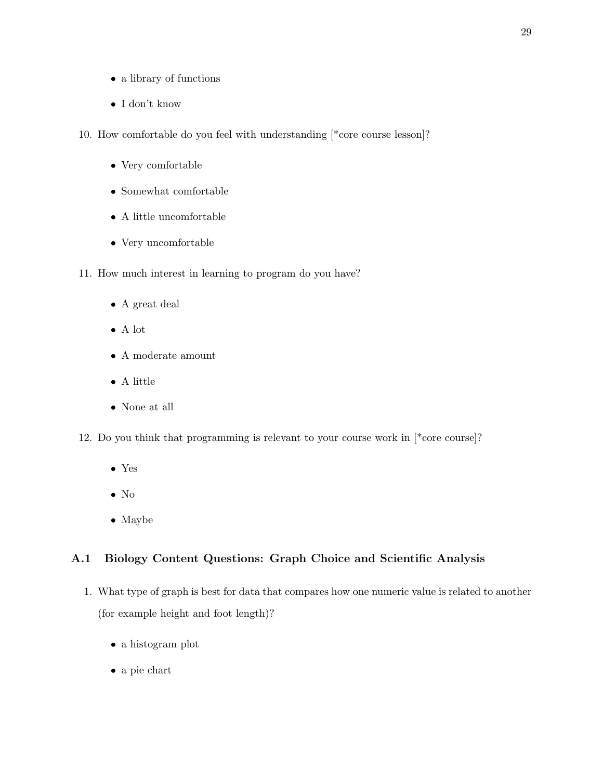- a library of functions
- $\bullet\,$ I don't know
- 10. How comfortable do you feel with understanding [\*core course lesson]?
	- Very comfortable
	- Somewhat comfortable
	- $\bullet\,$  A little uncomfortable
	- Very uncomfortable
- 11. How much interest in learning to program do you have?
	- A great deal
	- A lot
	- $\bullet\,$  A moderate amount
	- A little
	- None at all
- 12. Do you think that programming is relevant to your course work in [\*core course]?
	- Yes
	- No
	- Maybe

### <span id="page-36-0"></span>A.1 Biology Content Questions: Graph Choice and Scientific Analysis

- 1. What type of graph is best for data that compares how one numeric value is related to another (for example height and foot length)?
	- a histogram plot
	- a pie chart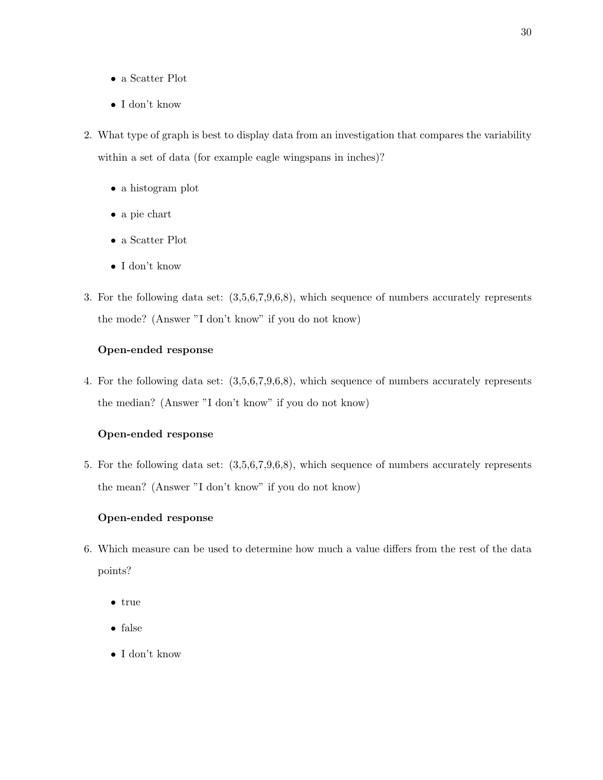- a Scatter Plot
- I don't know
- 2. What type of graph is best to display data from an investigation that compares the variability within a set of data (for example eagle wingspans in inches)?
	- a histogram plot
	- a pie chart
	- a Scatter Plot
	- I don't know
- 3. For the following data set: (3,5,6,7,9,6,8), which sequence of numbers accurately represents the mode? (Answer "I don't know" if you do not know)

#### Open-ended response

4. For the following data set: (3,5,6,7,9,6,8), which sequence of numbers accurately represents the median? (Answer "I don't know" if you do not know)

#### Open-ended response

5. For the following data set: (3,5,6,7,9,6,8), which sequence of numbers accurately represents the mean? (Answer "I don't know" if you do not know)

- 6. Which measure can be used to determine how much a value differs from the rest of the data points?
	- true
	- $\bullet\hspace{0.1cm}$  false
	- I don't know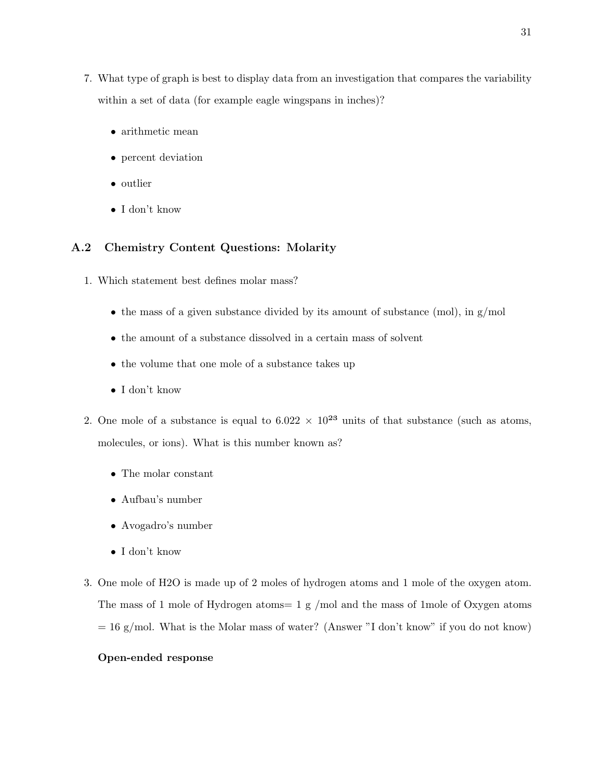- 7. What type of graph is best to display data from an investigation that compares the variability within a set of data (for example eagle wingspans in inches)?
	- arithmetic mean
	- percent deviation
	- outlier
	- I don't know

#### <span id="page-38-0"></span>A.2 Chemistry Content Questions: Molarity

- 1. Which statement best defines molar mass?
	- the mass of a given substance divided by its amount of substance (mol), in  $g/mol$
	- the amount of a substance dissolved in a certain mass of solvent
	- the volume that one mole of a substance takes up
	- I don't know
- 2. One mole of a substance is equal to  $6.022 \times 10^{23}$  units of that substance (such as atoms, molecules, or ions). What is this number known as?
	- The molar constant
	- Aufbau's number
	- Avogadro's number
	- I don't know
- 3. One mole of H2O is made up of 2 moles of hydrogen atoms and 1 mole of the oxygen atom. The mass of 1 mole of Hydrogen atoms= 1 g /mol and the mass of 1mole of Oxygen atoms  $= 16$  g/mol. What is the Molar mass of water? (Answer "I don't know" if you do not know)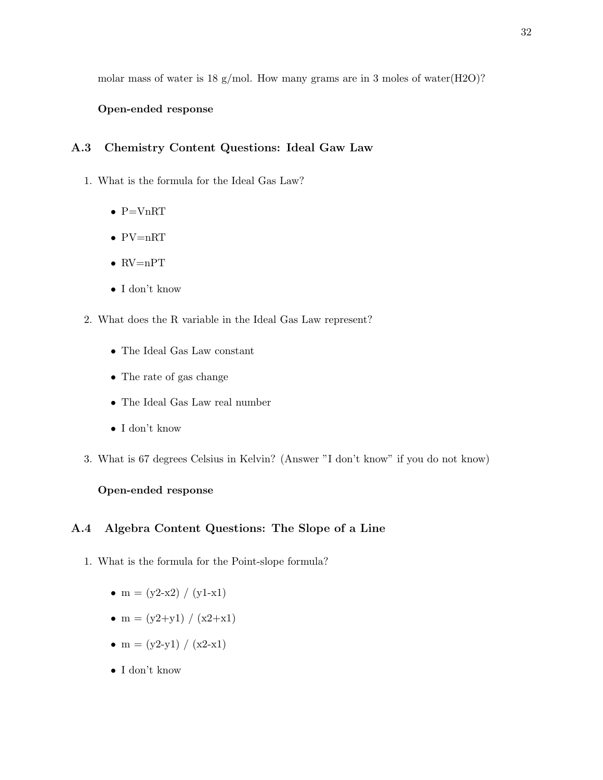molar mass of water is 18 g/mol. How many grams are in 3 moles of water(H2O)?

#### Open-ended response

#### <span id="page-39-0"></span>A.3 Chemistry Content Questions: Ideal Gaw Law

- 1. What is the formula for the Ideal Gas Law?
	- $\bullet$  P=VnRT
	- PV=nRT
	- $\bullet$  RV=nPT
	- I don't know
- 2. What does the R variable in the Ideal Gas Law represent?
	- The Ideal Gas Law constant
	- The rate of gas change
	- The Ideal Gas Law real number
	- I don't know
- 3. What is 67 degrees Celsius in Kelvin? (Answer "I don't know" if you do not know)

#### Open-ended response

#### <span id="page-39-1"></span>A.4 Algebra Content Questions: The Slope of a Line

- 1. What is the formula for the Point-slope formula?
	- $m = (y2-x2) / (y1-x1)$
	- m =  $(y2+y1) / (x2+x1)$
	- $m = (y2-y1) / (x2-x1)$
	- I don't know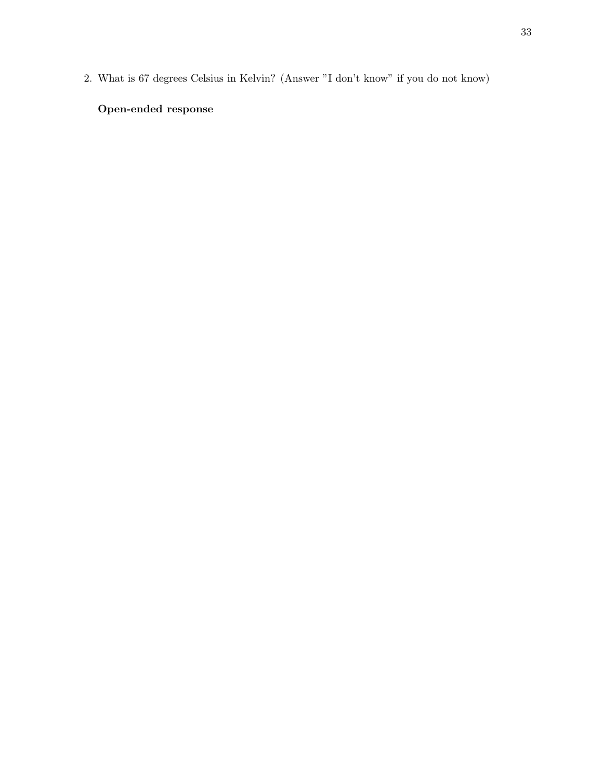2. What is 67 degrees Celsius in Kelvin? (Answer "I don't know" if you do not know)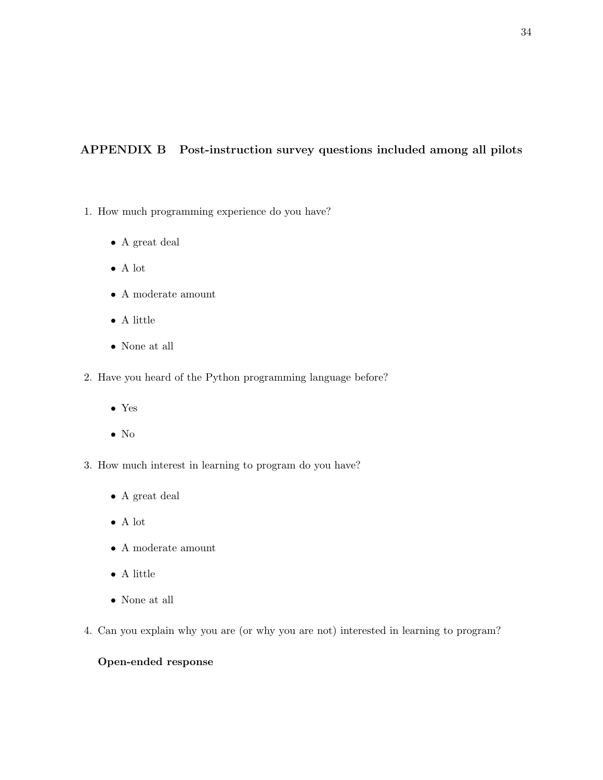### <span id="page-41-0"></span>APPENDIX B Post-instruction survey questions included among all pilots

- 1. How much programming experience do you have?
	- $\bullet\,$  A great deal
	- A lot
	- $\bullet\,$  A moderate amount
	- $\bullet\,$  A little
	- None at all
- 2. Have you heard of the Python programming language before?
	- Yes
	- No
- 3. How much interest in learning to program do you have?
	- A great deal
	- A lot
	- A moderate amount
	- $\bullet\,$  A little
	- $\bullet\,$  None at all
- 4. Can you explain why you are (or why you are not) interested in learning to program?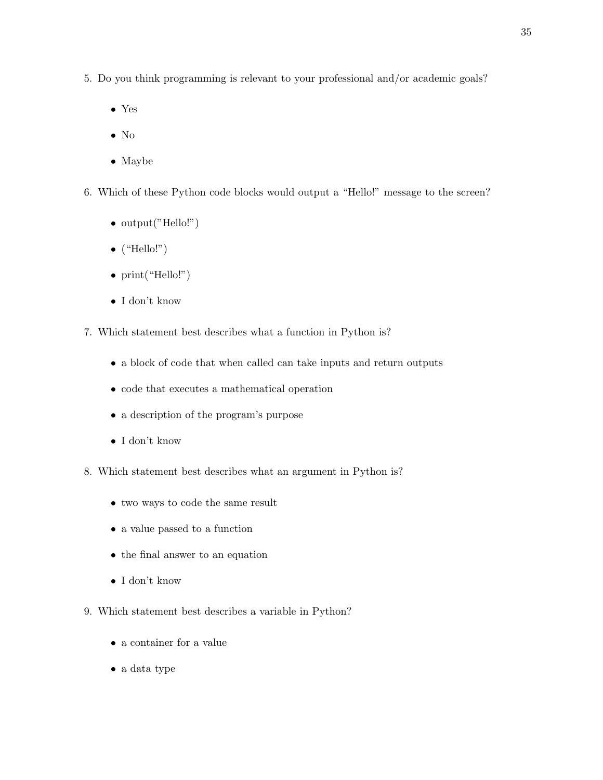- 5. Do you think programming is relevant to your professional and/or academic goals?
	- Yes
	- No
	- Maybe
- 6. Which of these Python code blocks would output a "Hello!" message to the screen?
	- output("Hello!")
	- $\bullet$  ("Hello!")
	- $print("Hello!")$
	- I don't know
- 7. Which statement best describes what a function in Python is?
	- a block of code that when called can take inputs and return outputs
	- code that executes a mathematical operation
	- a description of the program's purpose
	- I don't know
- 8. Which statement best describes what an argument in Python is?
	- two ways to code the same result
	- a value passed to a function
	- the final answer to an equation
	- I don't know
- 9. Which statement best describes a variable in Python?
	- a container for a value
	- a data type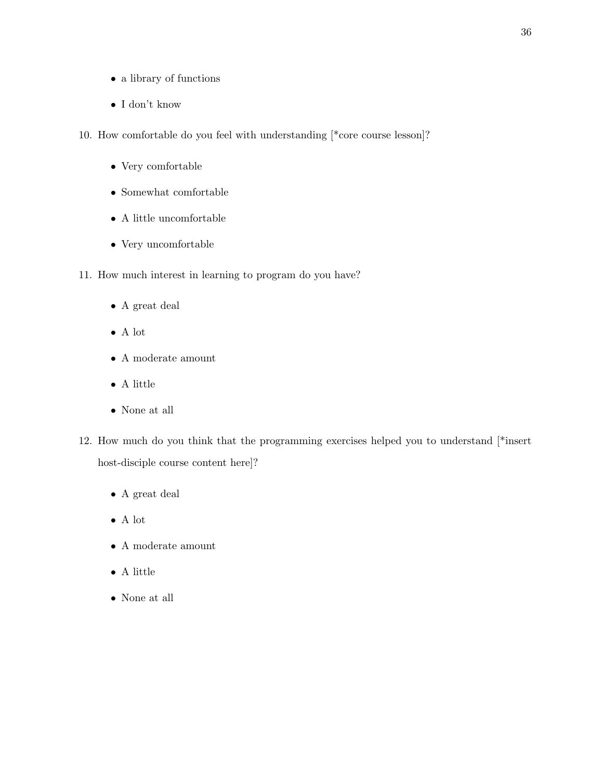- a library of functions
- I don't know
- 10. How comfortable do you feel with understanding [\*core course lesson]?
	- Very comfortable
	- Somewhat comfortable
	- $\bullet\,$  A little uncomfortable
	- Very uncomfortable
- 11. How much interest in learning to program do you have?
	- A great deal
	- A lot
	- $\bullet\,$  A moderate amount
	- $\bullet\,$  A little
	- None at all
- 12. How much do you think that the programming exercises helped you to understand [\*insert host-disciple course content here]?
	- $\bullet\,$  A great deal
	- $\bullet\,$  A lot
	- $\bullet\,$  A moderate amount
	- A little
	- None at all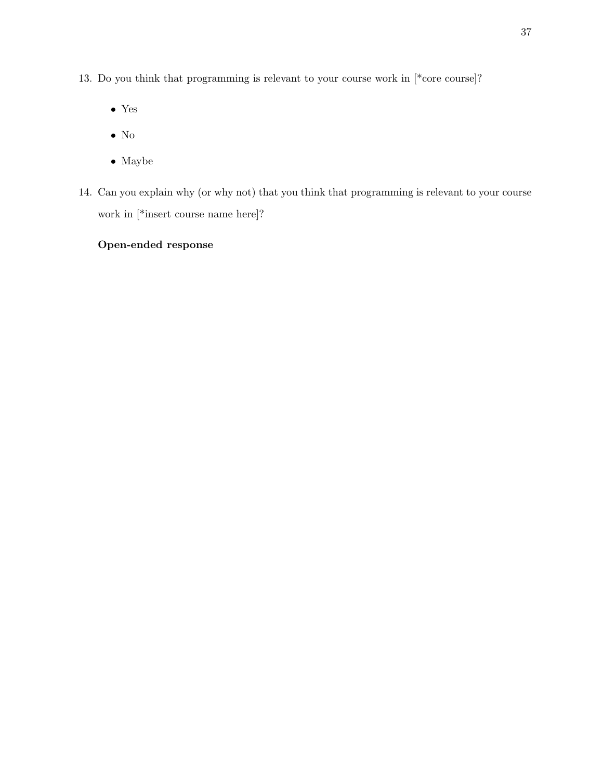- 13. Do you think that programming is relevant to your course work in [\*core course]?
	- Yes
	- No
	- $\bullet\,$  Maybe
- 14. Can you explain why (or why not) that you think that programming is relevant to your course work in [\*insert course name here]?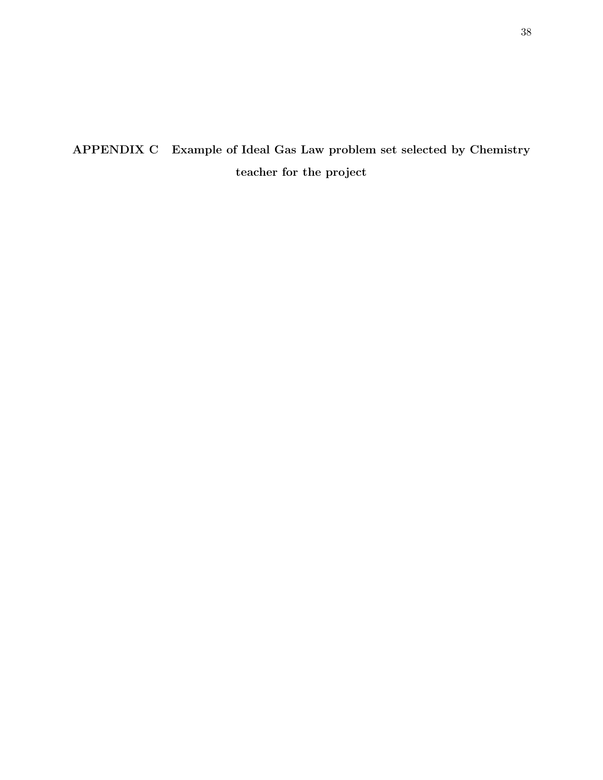# <span id="page-45-0"></span>APPENDIX C Example of Ideal Gas Law problem set selected by Chemistry teacher for the project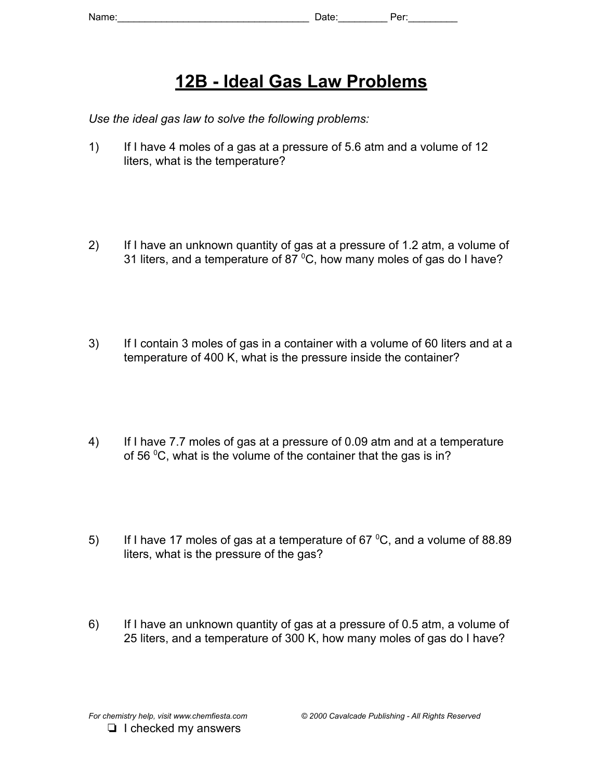# **12B - Ideal Gas Law Problems**

*Use the ideal gas law to solve the following problems:*

- 1) If I have 4 moles of a gas at a pressure of 5.6 atm and a volume of 12 liters, what is the temperature?
- 2) If I have an unknown quantity of gas at a pressure of 1.2 atm, a volume of 31 liters, and a temperature of 87 $\mathrm{^0C}$ , how many moles of gas do I have?
- 3) If I contain 3 moles of gas in a container with a volume of 60 liters and at a temperature of 400 K, what is the pressure inside the container?
- 4) If I have 7.7 moles of gas at a pressure of 0.09 atm and at a temperature of 56 °C, what is the volume of the container that the gas is in?
- 5) If I have 17 moles of gas at a temperature of 67 $\degree$ C, and a volume of 88.89 liters, what is the pressure of the gas?
- 6) If I have an unknown quantity of gas at a pressure of 0.5 atm, a volume of 25 liters, and a temperature of 300 K, how many moles of gas do I have?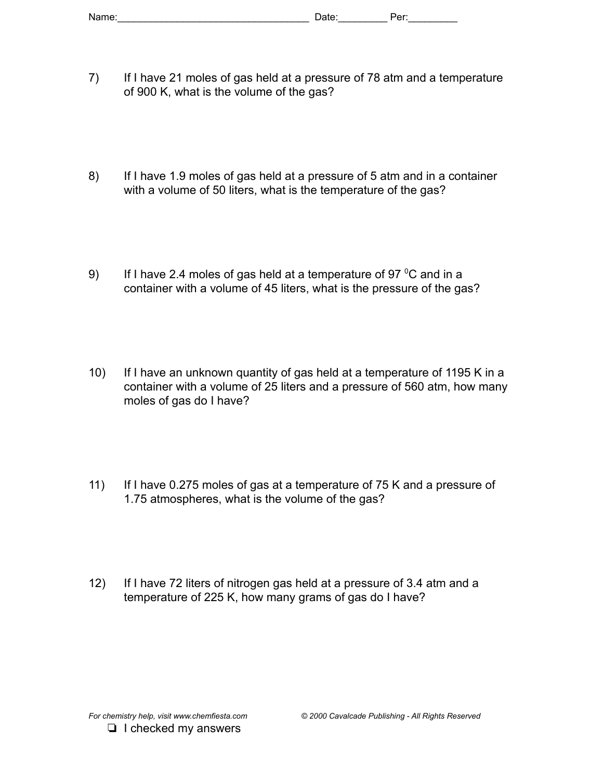- 7) If I have 21 moles of gas held at a pressure of 78 atm and a temperature of 900 K, what is the volume of the gas?
- 8) If I have 1.9 moles of gas held at a pressure of 5 atm and in a container with a volume of 50 liters, what is the temperature of the gas?
- 9) If I have 2.4 moles of gas held at a temperature of 97 $\mathrm{^0C}$  and in a container with a volume of 45 liters, what is the pressure of the gas?
- 10) If I have an unknown quantity of gas held at a temperature of 1195 K in a container with a volume of 25 liters and a pressure of 560 atm, how many moles of gas do I have?
- 11) If I have 0.275 moles of gas at a temperature of 75 K and a pressure of 1.75 atmospheres, what is the volume of the gas?
- 12) If I have 72 liters of nitrogen gas held at a pressure of 3.4 atm and a temperature of 225 K, how many grams of gas do I have?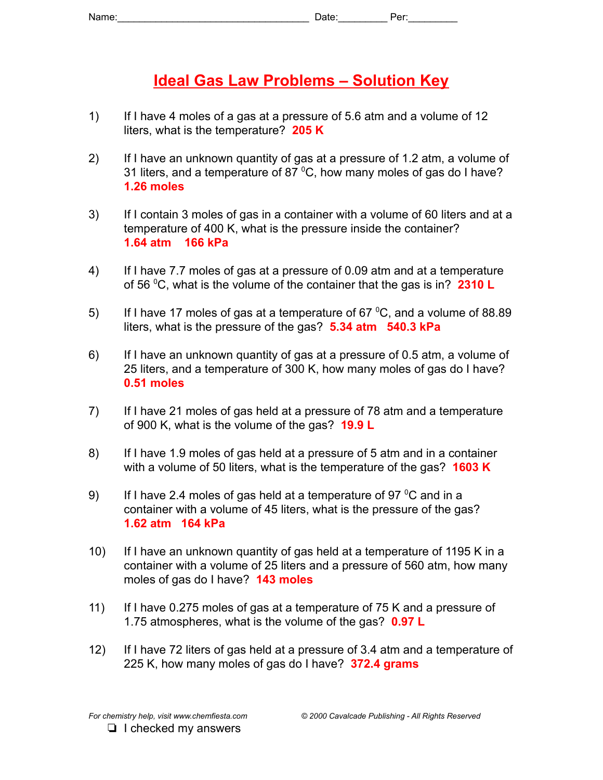# **Ideal Gas Law Problems – Solution Key**

- 1) If I have 4 moles of a gas at a pressure of 5.6 atm and a volume of 12 liters, what is the temperature? **205 K**
- 2) If I have an unknown quantity of gas at a pressure of 1.2 atm, a volume of 31 liters, and a temperature of 87  $\mathrm{^0C}$ , how many moles of gas do I have? **1.26 moles**
- 3) If I contain 3 moles of gas in a container with a volume of 60 liters and at a temperature of 400 K, what is the pressure inside the container? **1.64 atm 166 kPa**
- 4) If I have 7.7 moles of gas at a pressure of 0.09 atm and at a temperature of 56 <sup>0</sup>C, what is the volume of the container that the gas is in? **2310 L**
- 5) If I have 17 moles of gas at a temperature of 67  $\mathrm{^0C}$ , and a volume of 88.89 liters, what is the pressure of the gas? **5.34 atm 540.3 kPa**
- 6) If I have an unknown quantity of gas at a pressure of 0.5 atm, a volume of 25 liters, and a temperature of 300 K, how many moles of gas do I have? **0.51 moles**
- 7) If I have 21 moles of gas held at a pressure of 78 atm and a temperature of 900 K, what is the volume of the gas? **19.9 L**
- 8) If I have 1.9 moles of gas held at a pressure of 5 atm and in a container with a volume of 50 liters, what is the temperature of the gas? **1603 K**
- 9) If I have 2.4 moles of gas held at a temperature of 97 $\mathrm{^{0}C}$  and in a container with a volume of 45 liters, what is the pressure of the gas? **1.62 atm 164 kPa**
- 10) If I have an unknown quantity of gas held at a temperature of 1195 K in a container with a volume of 25 liters and a pressure of 560 atm, how many moles of gas do I have? **143 moles**
- 11) If I have 0.275 moles of gas at a temperature of 75 K and a pressure of 1.75 atmospheres, what is the volume of the gas? **0.97 L**
- 12) If I have 72 liters of gas held at a pressure of 3.4 atm and a temperature of 225 K, how many moles of gas do I have? **372.4 grams**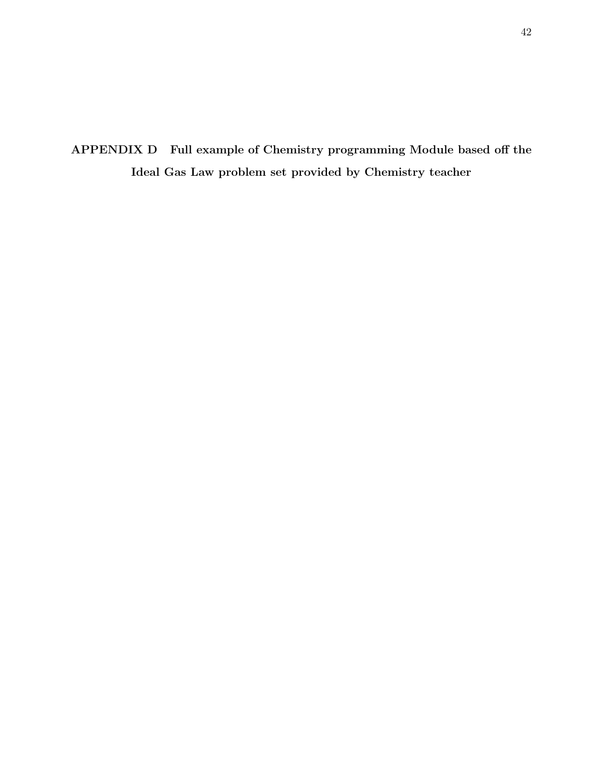<span id="page-49-0"></span>APPENDIX D Full example of Chemistry programming Module based off the Ideal Gas Law problem set provided by Chemistry teacher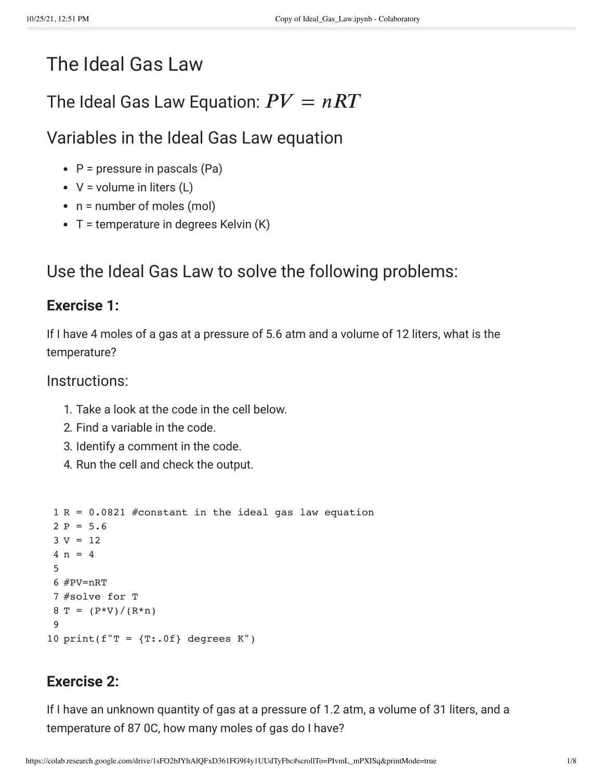# The Ideal Gas Law

# The Ideal Gas Law Equation:  $PV = nRT$

Variables in the Ideal Gas Law equation

- $\cdot$  P = pressure in pascals (Pa)
- $V =$  volume in liters  $(L)$
- $\cdot$  n = number of moles (mol)
- $\bullet$  T = temperature in degrees Kelvin (K)

# Use the Ideal Gas Law to solve the following problems:

# **Exercise 1:**

If I have 4 moles of a gas at a pressure of 5.6 atm and a volume of 12 liters, what is the temperature?

# Instructions:

- 1. Take a look at the code in the cell below.
- 2. Find a variable in the code.
- 3. Identify a comment in the code.
- 4. Run the cell and check the output.

```
1
R = 0.0821 #constant in the ideal gas law equation
 2 P = 5.63 V = 124 n = 45
 6
#PV=nRT
 7
#solve for T 
 8 T = (P*V)/(R*n)9
10 print(f''T = {T: .0f} degrees K')
```
# **Exercise 2:**

If I have an unknown quantity of gas at a pressure of 1.2 atm, a volume of 31 liters, and a temperature of 87 0C, how many moles of gas do I have?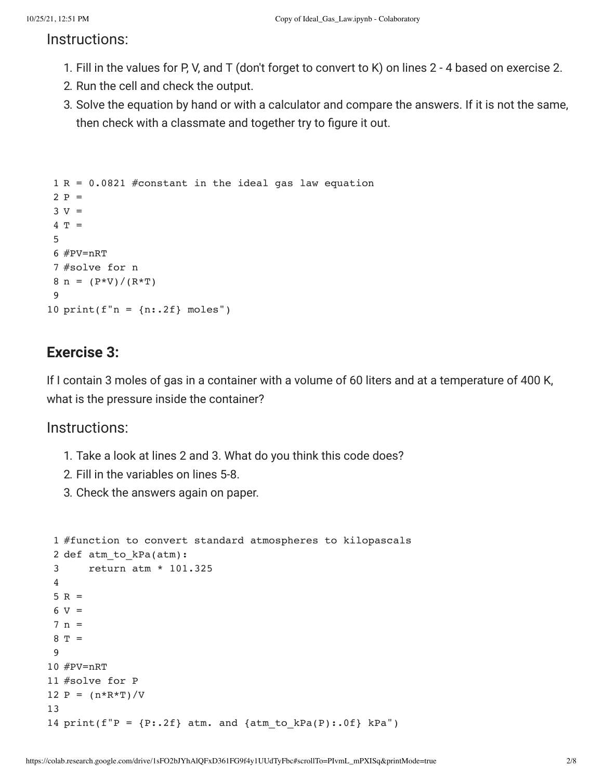### Instructions:

- 1. Fill in the values for P, V, and T (don't forget to convert to K) on lines 2 4 based on exercise 2.
- 2. Run the cell and check the output.
- 3. Solve the equation by hand or with a calculator and compare the answers. If it is not the same, then check with a classmate and together try to figure it out.

```
1
R = 0.0821 #constant in the ideal gas law equation
 2 P =3 V =4
T = 
5
 6
#PV=nRT
 7
#solve for n
 8 n = (P*V)/(R*T)9
10 print(f''n = {n:}.2f) moles")
```
# **Exercise 3:**

If I contain 3 moles of gas in a container with a volume of 60 liters and at a temperature of 400 K, what is the pressure inside the container?

### Instructions:

- 1. Take a look at lines 2 and 3. What do you think this code does?
- 2. Fill in the variables on lines 5-8.
- 3. Check the answers again on paper.

```
 1
#function to convert standard atmospheres to kilopascals 
 2
def atm_to_kPa(atm):
  3
  4
5 R =6 V = 7
n = 
 8
T = 
  9
 10
#PV=nRT
 11
#solve for P
12 P = (n*R*T)/V 13
14 print(f''P = {P: .2f} atm. and {atm_to_kPa(P): .0f} kPa")
           return atm * 101.325
```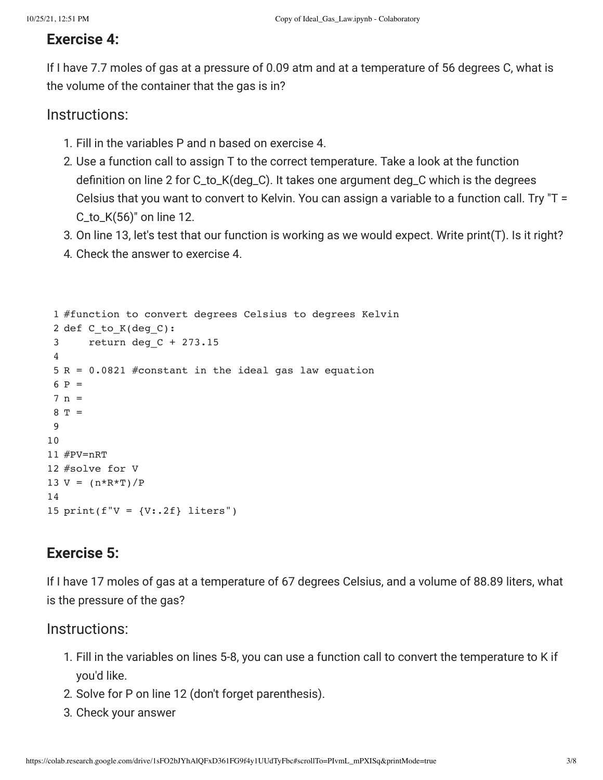# **Exercise 4:**

If I have 7.7 moles of gas at a pressure of 0.09 atm and at a temperature of 56 degrees C, what is the volume of the container that the gas is in?

# Instructions:

- 1. Fill in the variables P and n based on exercise 4.
- 2. Use a function call to assign T to the correct temperature. Take a look at the function definition on line 2 for C\_to\_K(deg\_C). It takes one argument deg\_C which is the degrees Celsius that you want to convert to Kelvin. You can assign a variable to a function call. Try "T = C\_to\_K(56)" on line 12.
- 3. On line 13, let's test that our function is working as we would expect. Write print(T). Is it right?
- 4. Check the answer to exercise 4.

```
 1
#function to convert degrees Celsius to degrees Kelvin
 2
def C_to_K(deg_C):
   3
   4
 5
R = 0.0821 #constant in the ideal gas law equation
6 P = 7
n = 
8 T = 9
 10
 11
#PV=nRT
 12
#solve for V
13 \text{ V} = (\text{n} * \text{R} * \text{T}) / \text{P} 14
 15
print(f"V = {V:.2f} liters") 
            return deg_C + 273.15
```
# **Exercise 5:**

If I have 17 moles of gas at a temperature of 67 degrees Celsius, and a volume of 88.89 liters, what is the pressure of the gas?

# Instructions:

- 1. Fill in the variables on lines 5-8, you can use a function call to convert the temperature to K if you'd like.
- 2. Solve for P on line 12 (don't forget parenthesis).
- 3. Check your answer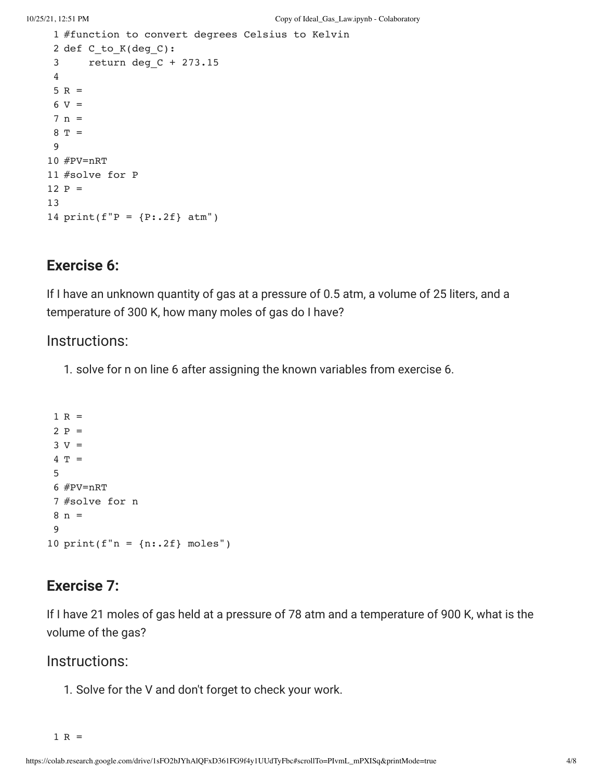```
 1
#function to convert degrees Celsius to Kelvin
 2
def C_to_K(deg_C):
  3
  4
5 R =6 V = 7
n = 
8 T = 9
 10
#PV=nRT
 11
#solve for P
 12
P = 
 13
14 print(f''P = {P: .2f} atm'')    return deg_C + 273.15
```
# **Exercise 6:**

If I have an unknown quantity of gas at a pressure of 0.5 atm, a volume of 25 liters, and a temperature of 300 K, how many moles of gas do I have?

### Instructions:

1. solve for n on line 6 after assigning the known variables from exercise 6.

```
1 R =2 P =3 V = 4
T = 
  5
 6
#PV=nRT
 7
#solve for n
 8
n = 
  9
10 print(f"n = {n:}.2f] moles")
```
# **Exercise 7:**

If I have 21 moles of gas held at a pressure of 78 atm and a temperature of 900 K, what is the volume of the gas?

### Instructions:

1. Solve for the V and don't forget to check your work.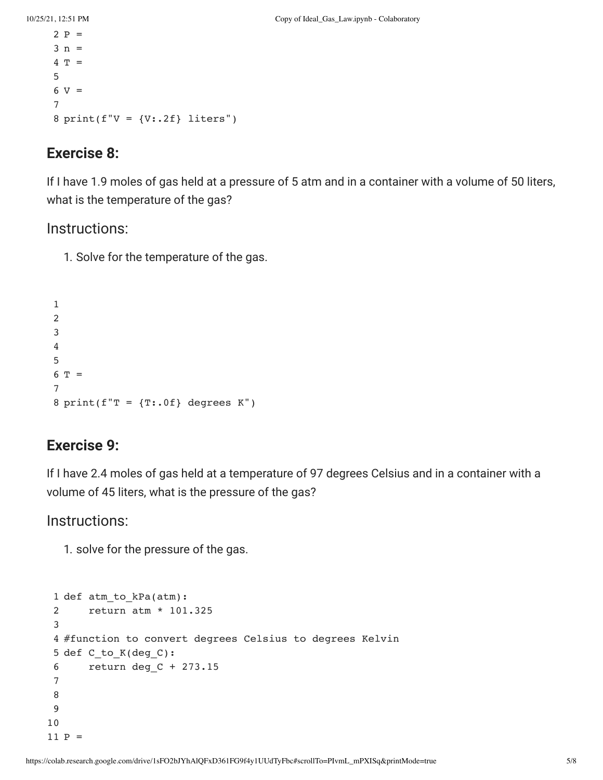```
2 P = 3
n =  
 4
T = 
  5
6 V = 7
 8
print(f"V = {V:.2f} liters")
```
# **Exercise 8:**

If I have 1.9 moles of gas held at a pressure of 5 atm and in a container with a volume of 50 liters, what is the temperature of the gas?

# Instructions:

1. Solve for the temperature of the gas.

```
 1
   2
   3
   4
   5
6 T = 7
8 \text{ print}(f''T = {T: .0f} \text{ degrees } K'')
```
# **Exercise 9:**

If I have 2.4 moles of gas held at a temperature of 97 degrees Celsius and in a container with a volume of 45 liters, what is the pressure of the gas?

Instructions:

1. solve for the pressure of the gas.

```
 1
def atm_to_kPa(atm):
  2
  3
 4
#function to convert degrees Celsius to degrees Kelvin
 5
def C_to_K(deg_C):
  6
  7
  8
  9
 10
 11
P =     return atm * 101.325
            return deg_C + 273.15
```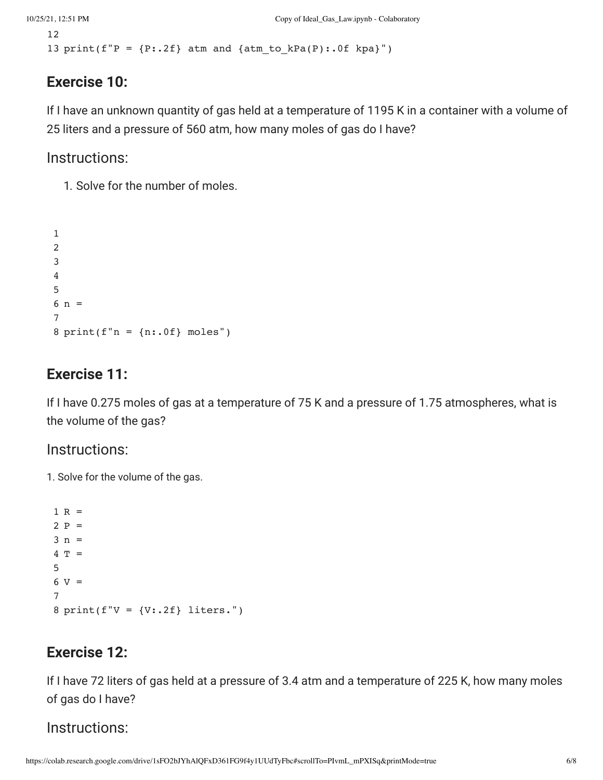```
 12
13 print(f''P = {P: .2f} atm and {atm_to_kPa(P): .0f kpa}'')
```
# **Exercise 10:**

If I have an unknown quantity of gas held at a temperature of 1195 K in a container with a volume of 25 liters and a pressure of 560 atm, how many moles of gas do I have?

Instructions:

1. Solve for the number of moles.

```
 1
   2
   3
   4
   5
6 n = 7
8 print(f"n = \{n: .0f\} moles")
```
# **Exercise 11:**

If I have 0.275 moles of gas at a temperature of 75 K and a pressure of 1.75 atmospheres, what is the volume of the gas?

# Instructions:

1. Solve for the volume of the gas.

```
1 R =2 P =3 n =4 T =
  5
6 V = 7
8 print(f"V = \{V: .2f\} liters.")
```
# **Exercise 12:**

If I have 72 liters of gas held at a pressure of 3.4 atm and a temperature of 225 K, how many moles of gas do I have?

# Instructions: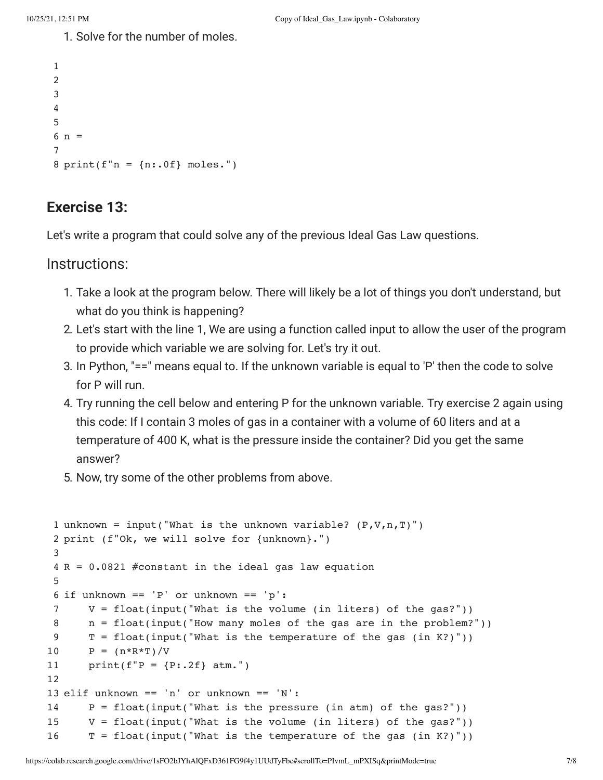1. Solve for the number of moles.

```
 1
  2
   3
  4
  5
6 n = 7
 8
print(f"n = {n:.0f} moles.")
```
# **Exercise 13:**

Let's write a program that could solve any of the previous Ideal Gas Law questions.

Instructions:

- 1. Take a look at the program below. There will likely be a lot of things you don't understand, but what do you think is happening?
- 2. Let's start with the line 1, We are using a function called input to allow the user of the program to provide which variable we are solving for. Let's try it out.
- 3. In Python, "==" means equal to. If the unknown variable is equal to 'P' then the code to solve for P will run.
- 4. Try running the cell below and entering P for the unknown variable. Try exercise 2 again using this code: If I contain 3 moles of gas in a container with a volume of 60 liters and at a temperature of 400 K, what is the pressure inside the container? Did you get the same answer?
- 5. Now, try some of the other problems from above.

```
 1
unknown = input("What is the unknown variable? (P,V,n,T)")
 2
print (f"Ok, we will solve for {unknown}.")
  3
 4
R = 0.0821 #constant in the ideal gas law equation
  5
 6
if unknown == 'P' or unknown == 'p':
  7
  8
  9
 10
 11
 12
 13
elif unknown == 'n' or unknown == 'N':
 14
 15
 16
       V = float(input('What is the volume (in liters) of the gas?'))    n = float(input("How many moles of the gas are in the problem?"))
       T = float(input("What is the temperature of the gas (in K?)"))P = (n * R * T) / Vprint(f''P = {P: .2f} atm.")
       P = float(input("What is the pressure (in atm) of the gas?"))V = float(input("What is the volume (in liters) of the gas?"))T = float(input('What is the temperature of the gas (in K?)"))
```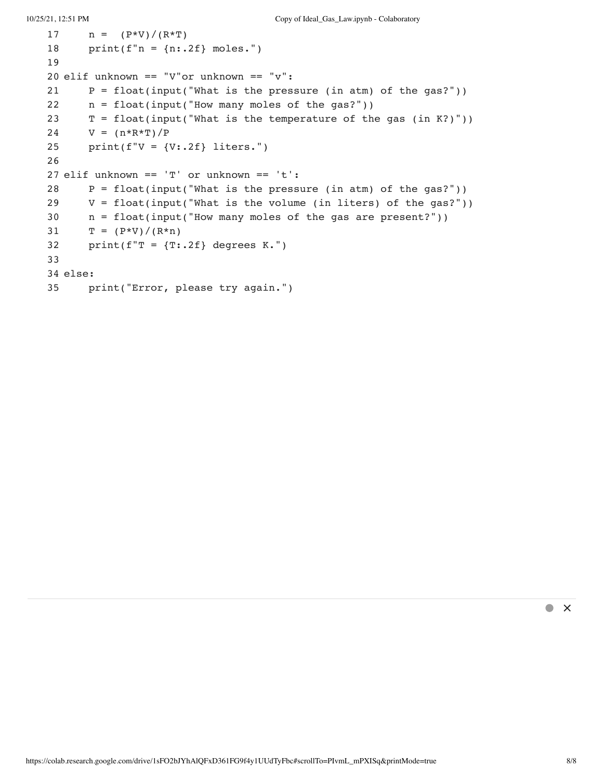```
10/25/21, 12:51 PM Copy of Ideal_Gas_Law.ipynb - Colaboratory
    17
    18
    19
   20
elif unknown == "V"or unknown == "v":
    21
    22
    23
    24
    25
    26
   27
elif unknown == 'T' or unknown == 't':
    28
    29
    30
    31
    32
    33
   34
else:
    35
         n = (P*V)/(R*T)print(f''n = {n: .2f} \text{ moles.}")P = float(input('What is the pressure (in atm) of the gas?"))n = float(input("How many moles of the gas?"))T = float(input("What is the temperature of the gas (in K?)"))V = (n*R*T)/Pprint(f''V = \{V: .2f\} liters.")
          P = float(input('What is the pressure (in atm) of the gas?"))V = float(input("What is the volume (in liters) of the gas?"))    n = float(input("How many moles of the gas are present?"))
          T = (P*V)/(R*n)print(f"T = {T:2f} degrees K.")
              print("Error, please try again.")
```
 $\bullet$   $\times$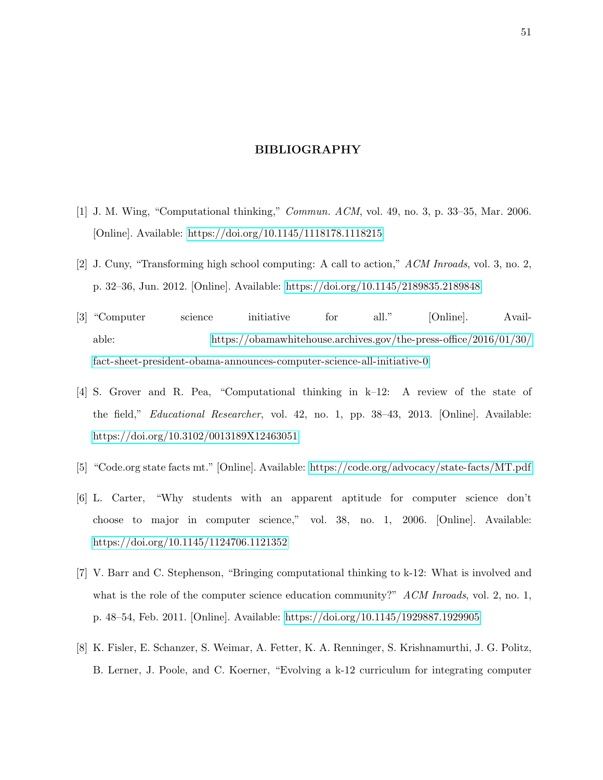#### BIBLIOGRAPHY

- <span id="page-58-1"></span><span id="page-58-0"></span>[1] J. M. Wing, "Computational thinking," Commun. ACM, vol. 49, no. 3, p. 33–35, Mar. 2006. [Online]. Available:<https://doi.org/10.1145/1118178.1118215>
- <span id="page-58-2"></span>[2] J. Cuny, "Transforming high school computing: A call to action," ACM Inroads, vol. 3, no. 2, p. 32–36, Jun. 2012. [Online]. Available:<https://doi.org/10.1145/2189835.2189848>
- <span id="page-58-3"></span>[3] "Computer science initiative for all." [Online]. Available: [https://obamawhitehouse.archives.gov/the-press-office/2016/01/30/](https://obamawhitehouse.archives.gov/the-press-office/2016/01/30/fact-sheet-president-obama-announces-computer-science-all-initiative-0) [fact-sheet-president-obama-announces-computer-science-all-initiative-0](https://obamawhitehouse.archives.gov/the-press-office/2016/01/30/fact-sheet-president-obama-announces-computer-science-all-initiative-0)
- <span id="page-58-4"></span>[4] S. Grover and R. Pea, "Computational thinking in k–12: A review of the state of the field," Educational Researcher, vol. 42, no. 1, pp. 38–43, 2013. [Online]. Available: <https://doi.org/10.3102/0013189X12463051>
- <span id="page-58-5"></span>[5] "Code.org state facts mt." [Online]. Available:<https://code.org/advocacy/state-facts/MT.pdf>
- <span id="page-58-6"></span>[6] L. Carter, "Why students with an apparent aptitude for computer science don't choose to major in computer science," vol. 38, no. 1, 2006. [Online]. Available: <https://doi.org/10.1145/1124706.1121352>
- <span id="page-58-7"></span>[7] V. Barr and C. Stephenson, "Bringing computational thinking to k-12: What is involved and what is the role of the computer science education community?"  $ACM$  Inroads, vol. 2, no. 1, p. 48–54, Feb. 2011. [Online]. Available:<https://doi.org/10.1145/1929887.1929905>
- <span id="page-58-8"></span>[8] K. Fisler, E. Schanzer, S. Weimar, A. Fetter, K. A. Renninger, S. Krishnamurthi, J. G. Politz, B. Lerner, J. Poole, and C. Koerner, "Evolving a k-12 curriculum for integrating computer